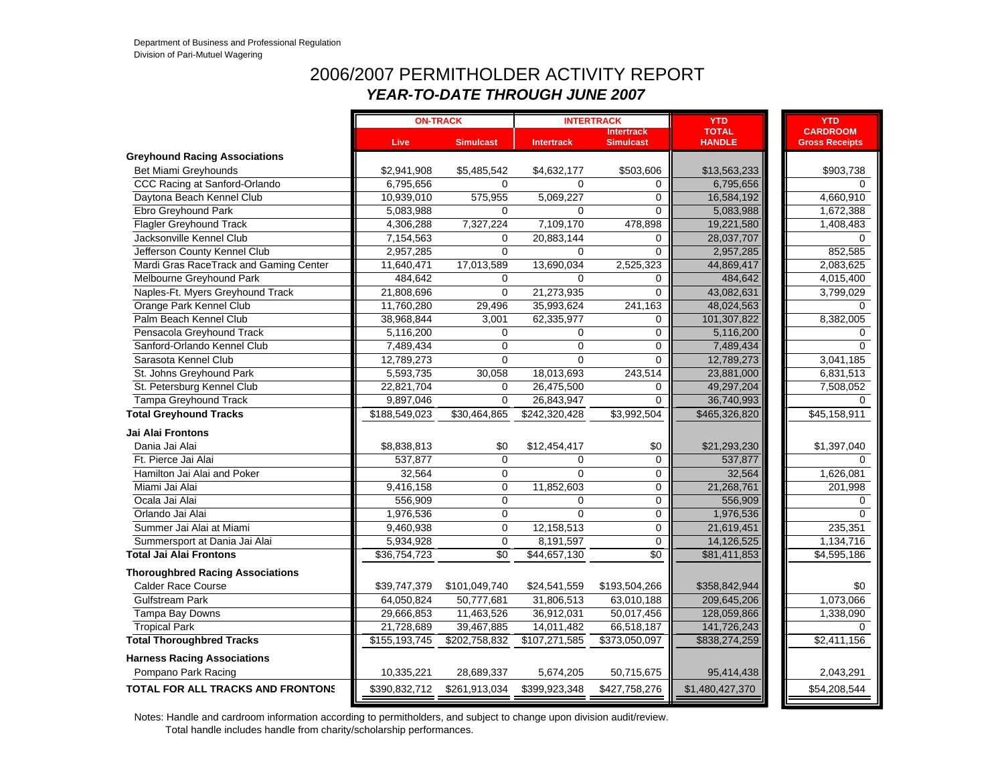#### 2006/2007 PERMITHOLDER ACTIVITY REPORT*YEAR-TO-DATE THROUGH JUNE 2007*

|                                         |               | <b>ON-TRACK</b>  |                   | <b>INTERTRACK</b>                     | <b>YTD</b>                    | <b>YTD</b>                               |
|-----------------------------------------|---------------|------------------|-------------------|---------------------------------------|-------------------------------|------------------------------------------|
|                                         | Live,         | <b>Simulcast</b> | <b>Intertrack</b> | <b>Intertrack</b><br><b>Simulcast</b> | <b>TOTAL</b><br><b>HANDLE</b> | <b>CARDROOM</b><br><b>Gross Receipts</b> |
| <b>Greyhound Racing Associations</b>    |               |                  |                   |                                       |                               |                                          |
| Bet Miami Greyhounds                    | \$2,941,908   | \$5,485,542      | \$4,632,177       | \$503,606                             | \$13,563,233                  | \$903,738                                |
| CCC Racing at Sanford-Orlando           | 6,795,656     | $\Omega$         | $\Omega$          | 0                                     | 6,795,656                     | $\Omega$                                 |
| Daytona Beach Kennel Club               | 10,939,010    | 575,955          | 5,069,227         | $\Omega$                              | 16,584,192                    | 4,660,910                                |
| Ebro Greyhound Park                     | 5,083,988     | 0                | $\Omega$          | $\Omega$                              | 5.083.988                     | 1,672,388                                |
| <b>Flagler Greyhound Track</b>          | 4,306,288     | 7,327,224        | 7,109,170         | 478,898                               | 19,221,580                    | 1,408,483                                |
| Jacksonville Kennel Club                | 7,154,563     | $\mathbf 0$      | 20,883,144        | 0                                     | 28,037,707                    | $\Omega$                                 |
| Jefferson County Kennel Club            | 2,957,285     | $\Omega$         | 0                 | 0                                     | 2,957,285                     | 852,585                                  |
| Mardi Gras RaceTrack and Gaming Center  | 11,640,471    | 17,013,589       | 13,690,034        | 2,525,323                             | 44,869,417                    | 2,083,625                                |
| Melbourne Greyhound Park                | 484,642       | 0                | $\mathbf 0$       | 0                                     | 484,642                       | 4,015,400                                |
| Naples-Ft. Myers Greyhound Track        | 21,808,696    | $\mathbf 0$      | 21,273,935        | $\overline{0}$                        | 43,082,631                    | 3,799,029                                |
| Orange Park Kennel Club                 | 11,760,280    | 29,496           | 35,993,624        | 241,163                               | 48,024,563                    | $\Omega$                                 |
| Palm Beach Kennel Club                  | 38,968,844    | 3,001            | 62,335,977        | 0                                     | 101,307,822                   | 8,382,005                                |
| Pensacola Greyhound Track               | 5,116,200     | $\mathbf 0$      | $\mathbf 0$       | $\mathbf 0$                           | 5,116,200                     | $\Omega$                                 |
| Sanford-Orlando Kennel Club             | 7,489,434     | $\mathbf 0$      | $\Omega$          | $\mathbf 0$                           | 7,489,434                     | $\Omega$                                 |
| Sarasota Kennel Club                    | 12,789,273    | $\Omega$         | $\Omega$          | $\Omega$                              | 12,789,273                    | 3,041,185                                |
| St. Johns Greyhound Park                | 5,593,735     | 30,058           | 18,013,693        | 243,514                               | 23,881,000                    | 6,831,513                                |
| St. Petersburg Kennel Club              | 22,821,704    | $\mathbf 0$      | 26,475,500        | $\mathbf 0$                           | 49,297,204                    | 7,508,052                                |
| Tampa Greyhound Track                   | 9,897,046     | $\Omega$         | 26,843,947        | $\Omega$                              | 36,740,993                    | $\Omega$                                 |
| <b>Total Greyhound Tracks</b>           | \$188,549,023 | \$30,464,865     | \$242,320,428     | \$3,992,504                           | \$465,326,820                 | \$45,158,911                             |
| <b>Jai Alai Frontons</b>                |               |                  |                   |                                       |                               |                                          |
| Dania Jai Alai                          | \$8,838,813   | \$0              | \$12,454,417      | \$0                                   | \$21,293,230                  | \$1,397,040                              |
| Ft. Pierce Jai Alai                     | 537,877       | $\mathbf 0$      | $\Omega$          | $\mathbf 0$                           | 537,877                       | $\Omega$                                 |
| Hamilton Jai Alai and Poker             | 32,564        | $\Omega$         | $\Omega$          | 0                                     | 32,564                        | 1,626,081                                |
| Miami Jai Alai                          | 9,416,158     | $\Omega$         | 11,852,603        | $\Omega$                              | 21,268,761                    | 201,998                                  |
| Ocala Jai Alai                          | 556,909       | 0                | $\Omega$          | 0                                     | 556,909                       | $\Omega$                                 |
| Orlando Jai Alai                        | 1,976,536     | $\mathbf 0$      | $\overline{0}$    | 0                                     | 1,976,536                     | $\Omega$                                 |
| Summer Jai Alai at Miami                | 9,460,938     | $\mathbf 0$      | 12,158,513        | 0                                     | 21,619,451                    | 235,351                                  |
| Summersport at Dania Jai Alai           | 5,934,928     | $\Omega$         | 8,191,597         | 0                                     | 14,126,525                    | 1,134,716                                |
| <b>Total Jai Alai Frontons</b>          | \$36,754,723  | $\sqrt{6}$       | \$44,657,130      | $\sqrt{6}$                            | \$81,411,853                  | \$4,595,186                              |
| <b>Thoroughbred Racing Associations</b> |               |                  |                   |                                       |                               |                                          |
| <b>Calder Race Course</b>               | \$39,747,379  | \$101,049,740    | \$24,541,559      | \$193,504,266                         | \$358,842,944                 | \$0                                      |
| <b>Gulfstream Park</b>                  | 64,050,824    | 50,777,681       | 31,806,513        | 63,010,188                            | 209,645,206                   | 1,073,066                                |
| Tampa Bay Downs                         | 29,666,853    | 11,463,526       | 36,912,031        | 50,017,456                            | 128,059,866                   | 1,338,090                                |
| <b>Tropical Park</b>                    | 21,728,689    | 39,467,885       | 14,011,482        | 66,518,187                            | 141,726,243                   | $\Omega$                                 |
| <b>Total Thoroughbred Tracks</b>        | \$155,193,745 | \$202,758,832    | \$107,271,585     | \$373,050,097                         | \$838,274,259                 | \$2,411,156                              |
| <b>Harness Racing Associations</b>      |               |                  |                   |                                       |                               |                                          |
| Pompano Park Racing                     | 10,335,221    | 28,689,337       | 5,674,205         | 50,715,675                            | 95,414,438                    | 2,043,291                                |
| TOTAL FOR ALL TRACKS AND FRONTONS       | \$390,832,712 | \$261,913,034    | \$399,923,348     | \$427,758,276                         | \$1,480,427,370               | \$54,208,544                             |
|                                         |               |                  |                   |                                       |                               |                                          |

Notes: Handle and cardroom information according to permitholders, and subject to change upon division audit/review.

Total handle includes handle from charity/scholarship performances.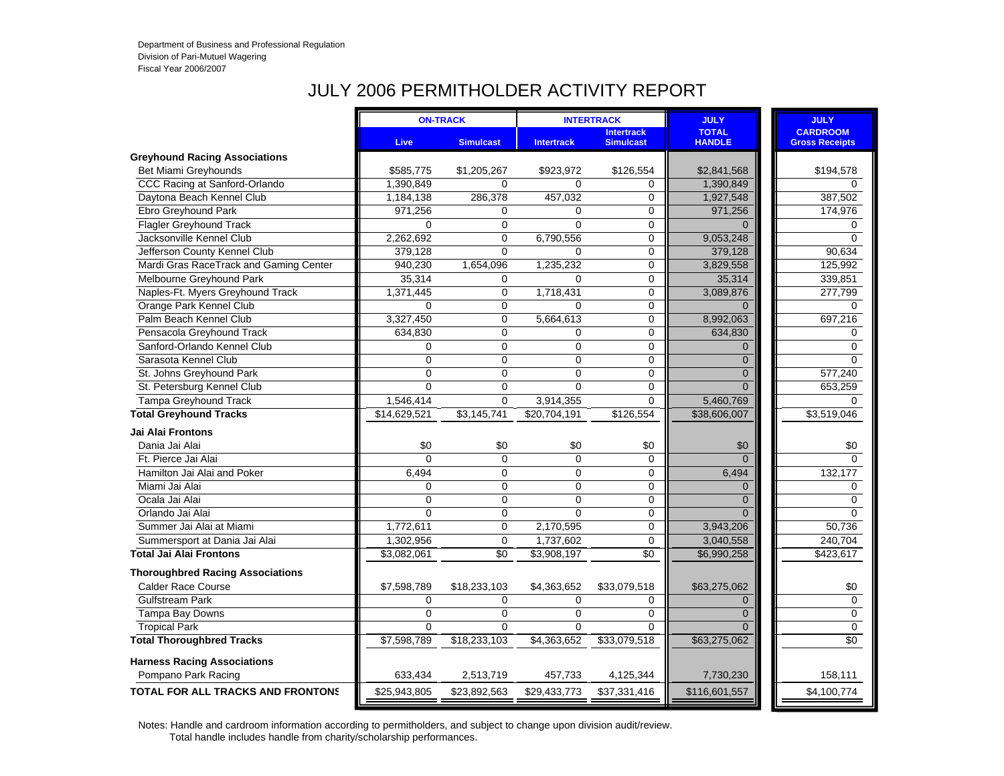# JULY 2006 PERMITHOLDER ACTIVITY REPORT

|                                          |                | <b>ON-TRACK</b>  |                   | <b>INTERTRACK</b>                     | <b>JULY</b>                   | <b>JULY</b>                              |
|------------------------------------------|----------------|------------------|-------------------|---------------------------------------|-------------------------------|------------------------------------------|
|                                          | <b>Live</b>    | <b>Simulcast</b> | <b>Intertrack</b> | <b>Intertrack</b><br><b>Simulcast</b> | <b>TOTAL</b><br><b>HANDLE</b> | <b>CARDROOM</b><br><b>Gross Receipts</b> |
| <b>Greyhound Racing Associations</b>     |                |                  |                   |                                       |                               |                                          |
| Bet Miami Greyhounds                     | \$585,775      | \$1,205,267      | \$923,972         | \$126,554                             | \$2,841,568                   | \$194,578                                |
| CCC Racing at Sanford-Orlando            | 1,390,849      | $\mathbf{0}$     | $\Omega$          | $\mathbf 0$                           | 1,390,849                     | $\Omega$                                 |
| Daytona Beach Kennel Club                | 1,184,138      | 286,378          | 457,032           | $\mathbf 0$                           | 1,927,548                     | 387,502                                  |
| Ebro Greyhound Park                      | 971,256        | $\mathbf 0$      | $\Omega$          | $\mathbf 0$                           | 971,256                       | 174,976                                  |
| <b>Flagler Greyhound Track</b>           | $\Omega$       | $\overline{0}$   | $\Omega$          | $\mathbf 0$                           | $\Omega$                      | $\Omega$                                 |
| Jacksonville Kennel Club                 | 2,262,692      | $\mathbf 0$      | 6,790,556         | $\mathbf 0$                           | 9,053,248                     | $\mathbf 0$                              |
| Jefferson County Kennel Club             | 379,128        | $\overline{0}$   | $\Omega$          | $\mathbf 0$                           | 379,128                       | 90,634                                   |
| Mardi Gras RaceTrack and Gaming Center   | 940,230        | 1,654,096        | 1,235,232         | $\mathbf 0$                           | 3,829,558                     | 125,992                                  |
| Melbourne Greyhound Park                 | 35,314         | $\Omega$         | $\Omega$          | $\mathbf 0$                           | 35,314                        | 339,851                                  |
| Naples-Ft. Myers Greyhound Track         | 1,371,445      | $\mathbf 0$      | 1,718,431         | $\mathbf 0$                           | 3,089,876                     | 277,799                                  |
| Orange Park Kennel Club                  | $\Omega$       | $\mathbf 0$      | $\Omega$          | $\mathbf 0$                           | $\Omega$                      | $\Omega$                                 |
| Palm Beach Kennel Club                   | 3,327,450      | $\Omega$         | 5,664,613         | 0                                     | 8,992,063                     | 697,216                                  |
| Pensacola Greyhound Track                | 634,830        | $\mathbf 0$      | $\mathbf 0$       | $\mathbf 0$                           | 634,830                       | 0                                        |
| Sanford-Orlando Kennel Club              | $\Omega$       | $\overline{0}$   | $\mathbf{0}$      | $\overline{0}$                        | $\Omega$                      | $\Omega$                                 |
| Sarasota Kennel Club                     | $\mathbf 0$    | $\mathbf 0$      | $\mathbf 0$       | 0                                     | $\Omega$                      | 0                                        |
| St. Johns Greyhound Park                 | $\mathbf 0$    | $\mathbf 0$      | $\mathbf 0$       | $\mathbf 0$                           | $\mathbf{0}$                  | 577,240                                  |
| St. Petersburg Kennel Club               | $\overline{0}$ | $\mathbf{0}$     | $\Omega$          | $\mathbf 0$                           | $\Omega$                      | 653,259                                  |
| Tampa Greyhound Track                    | 1,546,414      | $\overline{0}$   | 3,914,355         | $\mathbf 0$                           | 5,460,769                     | $\Omega$                                 |
| <b>Total Greyhound Tracks</b>            | \$14,629,521   | \$3,145,741      | \$20,704,191      | \$126,554                             | \$38,606,007                  | \$3,519,046                              |
| Jai Alai Frontons                        |                |                  |                   |                                       |                               |                                          |
| Dania Jai Alai                           | \$0            | \$0              | \$0               | \$0                                   | \$0                           | \$0                                      |
| Ft. Pierce Jai Alai                      | $\Omega$       | $\Omega$         | $\Omega$          | $\Omega$                              | $\Omega$                      | $\Omega$                                 |
| Hamilton Jai Alai and Poker              | 6,494          | $\overline{0}$   | $\Omega$          | $\mathbf 0$                           | 6,494                         | 132,177                                  |
| Miami Jai Alai                           | $\Omega$       | $\mathbf 0$      | $\Omega$          | $\mathbf 0$                           | $\Omega$                      | $\mathbf 0$                              |
| Ocala Jai Alai                           | $\mathbf 0$    | $\mathbf 0$      | $\mathbf 0$       | $\mathbf 0$                           | $\Omega$                      | $\mathbf 0$                              |
| Orlando Jai Alai                         | $\Omega$       | $\mathbf{0}$     | $\Omega$          | $\mathbf 0$                           | $\Omega$                      | $\Omega$                                 |
| Summer Jai Alai at Miami                 | 1,772,611      | $\mathbf 0$      | 2,170,595         | $\mathbf 0$                           | 3,943,206                     | 50,736                                   |
| Summersport at Dania Jai Alai            | 1,302,956      | $\mathbf 0$      | 1,737,602         | $\mathbf 0$                           | 3,040,558                     | 240,704                                  |
| <b>Total Jai Alai Frontons</b>           | \$3,082,061    | \$0              | \$3,908,197       | \$0                                   | \$6,990,258                   | \$423,617                                |
| <b>Thoroughbred Racing Associations</b>  |                |                  |                   |                                       |                               |                                          |
| <b>Calder Race Course</b>                | \$7,598,789    | \$18,233,103     | \$4,363,652       | \$33,079,518                          | \$63,275,062                  | \$0                                      |
| <b>Gulfstream Park</b>                   | $\Omega$       | $\Omega$         | $\Omega$          | 0                                     | $\Omega$                      | $\mathbf 0$                              |
| Tampa Bay Downs                          | $\mathbf 0$    | $\mathbf 0$      | $\mathbf 0$       | 0                                     | $\Omega$                      | $\pmb{0}$                                |
| <b>Tropical Park</b>                     | $\Omega$       | $\Omega$         | $\Omega$          | $\Omega$                              | $\Omega$                      | $\mathbf 0$                              |
| <b>Total Thoroughbred Tracks</b>         | \$7,598,789    | \$18,233,103     | \$4,363,652       | \$33,079,518                          | \$63,275,062                  | \$0                                      |
| <b>Harness Racing Associations</b>       |                |                  |                   |                                       |                               |                                          |
| Pompano Park Racing                      | 633,434        | 2,513,719        | 457,733           | 4,125,344                             | 7,730,230                     | 158,111                                  |
| <b>TOTAL FOR ALL TRACKS AND FRONTONS</b> | \$25,943,805   | \$23,892,563     | \$29,433,773      | \$37,331,416                          | \$116,601,557                 | \$4,100,774                              |
|                                          |                |                  |                   |                                       |                               |                                          |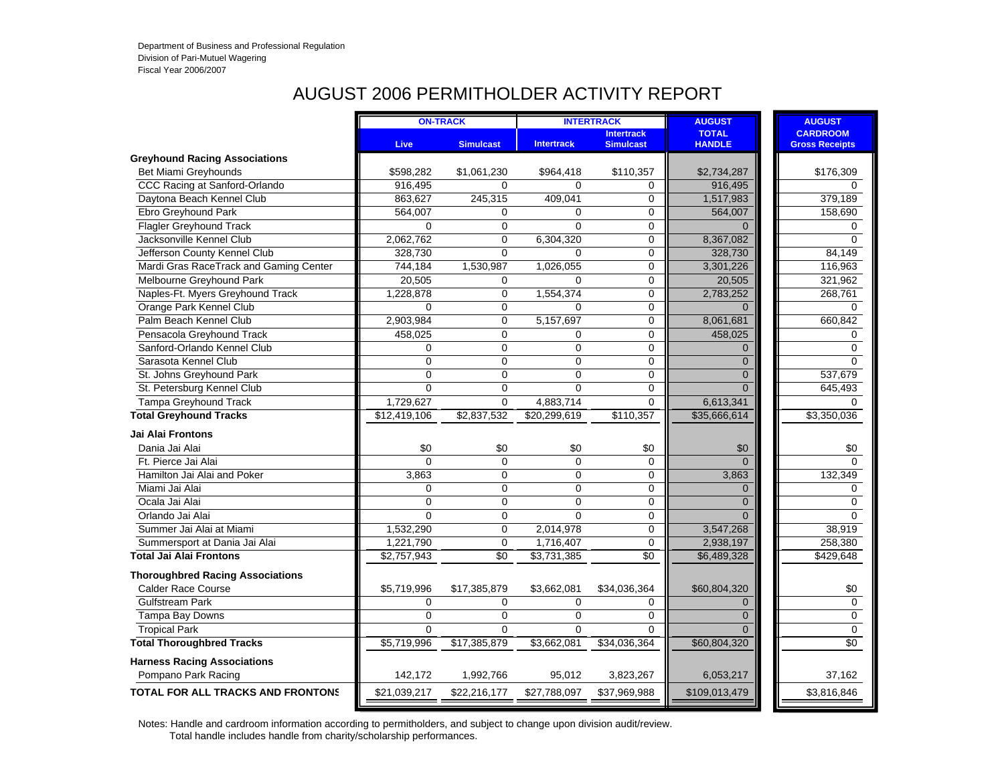#### AUGUST 2006 PERMITHOLDER ACTIVITY REPORT

|                                          |                | <b>ON-TRACK</b>  |                   | <b>INTERTRACK</b>                     | <b>AUGUST</b>                 | <b>AUGUST</b>                            |
|------------------------------------------|----------------|------------------|-------------------|---------------------------------------|-------------------------------|------------------------------------------|
|                                          | <b>Live</b>    | <b>Simulcast</b> | <b>Intertrack</b> | <b>Intertrack</b><br><b>Simulcast</b> | <b>TOTAL</b><br><b>HANDLE</b> | <b>CARDROOM</b><br><b>Gross Receipts</b> |
| <b>Greyhound Racing Associations</b>     |                |                  |                   |                                       |                               |                                          |
| Bet Miami Greyhounds                     | \$598,282      | \$1,061,230      | \$964,418         | \$110,357                             | \$2,734,287                   | \$176,309                                |
| CCC Racing at Sanford-Orlando            | 916,495        | $\Omega$         | $\Omega$          | $\Omega$                              | 916,495                       | $\Omega$                                 |
| Daytona Beach Kennel Club                | 863,627        | 245,315          | 409,041           | $\mathbf 0$                           | 1,517,983                     | 379,189                                  |
| Ebro Greyhound Park                      | 564,007        | 0                | $\Omega$          | $\mathbf 0$                           | 564,007                       | 158,690                                  |
| <b>Flagler Greyhound Track</b>           | 0              | $\mathbf 0$      | $\Omega$          | $\mathbf 0$                           | $\Omega$                      | 0                                        |
| Jacksonville Kennel Club                 | 2,062,762      | $\mathbf 0$      | 6,304,320         | $\mathbf 0$                           | 8,367,082                     | $\Omega$                                 |
| Jefferson County Kennel Club             | 328,730        | $\overline{0}$   | $\Omega$          | $\mathbf 0$                           | 328,730                       | 84,149                                   |
| Mardi Gras RaceTrack and Gaming Center   | 744,184        | 1,530,987        | 1,026,055         | $\mathbf 0$                           | 3,301,226                     | 116,963                                  |
| Melbourne Greyhound Park                 | 20,505         | 0                | $\mathbf 0$       | $\mathbf 0$                           | 20,505                        | 321,962                                  |
| Naples-Ft. Myers Greyhound Track         | 1,228,878      | $\mathbf 0$      | 1,554,374         | $\mathbf 0$                           | 2,783,252                     | 268,761                                  |
| Orange Park Kennel Club                  | $\Omega$       | 0                | $\Omega$          | $\mathbf 0$                           | $\Omega$                      | $\mathbf 0$                              |
| Palm Beach Kennel Club                   | 2,903,984      | $\mathbf 0$      | 5,157,697         | $\mathbf 0$                           | 8,061,681                     | 660,842                                  |
| Pensacola Greyhound Track                | 458,025        | 0                | $\Omega$          | $\mathbf 0$                           | 458,025                       | 0                                        |
| Sanford-Orlando Kennel Club              | $\mathbf 0$    | $\overline{0}$   | $\Omega$          | $\mathbf 0$                           | $\Omega$                      | $\mathbf 0$                              |
| Sarasota Kennel Club                     | $\Omega$       | $\Omega$         | $\Omega$          | $\mathbf 0$                           | $\Omega$                      | $\Omega$                                 |
| St. Johns Greyhound Park                 | 0              | 0                | 0                 | 0                                     | $\Omega$                      | 537,679                                  |
| St. Petersburg Kennel Club               | $\overline{0}$ | $\overline{0}$   | $\Omega$          | 0                                     | $\Omega$                      | 645,493                                  |
| Tampa Greyhound Track                    | 1,729,627      | $\Omega$         | 4,883,714         | $\Omega$                              | 6,613,341                     | $\Omega$                                 |
| <b>Total Greyhound Tracks</b>            | \$12,419,106   | \$2,837,532      | \$20,299,619      | \$110,357                             | \$35,666,614                  | \$3,350,036                              |
| <b>Jai Alai Frontons</b>                 |                |                  |                   |                                       |                               |                                          |
| Dania Jai Alai                           | \$0            | \$0              | \$0               | \$0                                   | \$0                           | \$0                                      |
| Ft. Pierce Jai Alai                      | $\Omega$       | $\Omega$         | $\Omega$          | $\Omega$                              | $\Omega$                      | $\Omega$                                 |
| Hamilton Jai Alai and Poker              | 3,863          | $\overline{0}$   | $\Omega$          | $\mathbf 0$                           | 3,863                         | 132,349                                  |
| Miami Jai Alai                           | 0              | $\mathbf 0$      | $\Omega$          | $\mathbf 0$                           | $\Omega$                      | 0                                        |
| Ocala Jai Alai                           | $\overline{0}$ | 0                | $\Omega$          | $\mathbf 0$                           | $\Omega$                      | $\mathbf 0$                              |
| Orlando Jai Alai                         | $\Omega$       | $\overline{0}$   | $\Omega$          | $\mathbf 0$                           | $\Omega$                      | $\Omega$                                 |
| Summer Jai Alai at Miami                 | 1,532,290      | $\Omega$         | 2,014,978         | 0                                     | 3,547,268                     | 38,919                                   |
| Summersport at Dania Jai Alai            | 1,221,790      | $\mathbf 0$      | 1,716,407         | $\mathbf 0$                           | 2,938,197                     | 258,380                                  |
| <b>Total Jai Alai Frontons</b>           | \$2,757,943    | \$0              | \$3,731,385       | \$0                                   | \$6,489,328                   | \$429,648                                |
| <b>Thoroughbred Racing Associations</b>  |                |                  |                   |                                       |                               |                                          |
| <b>Calder Race Course</b>                | \$5,719,996    | \$17,385,879     | \$3,662,081       | \$34,036,364                          | \$60,804,320                  | \$0                                      |
| <b>Gulfstream Park</b>                   | $\Omega$       | 0                | $\Omega$          | 0                                     | $\Omega$                      | $\mathbf 0$                              |
| Tampa Bay Downs                          | $\mathbf 0$    | $\mathbf 0$      | $\mathbf 0$       | $\mathbf 0$                           | $\Omega$                      | $\pmb{0}$                                |
| <b>Tropical Park</b>                     | $\Omega$       | $\overline{0}$   | $\Omega$          | $\Omega$                              | $\Omega$                      | $\pmb{0}$                                |
| <b>Total Thoroughbred Tracks</b>         | \$5,719,996    | \$17,385,879     | \$3,662,081       | \$34,036,364                          | \$60,804,320                  | $\overline{50}$                          |
| <b>Harness Racing Associations</b>       |                |                  |                   |                                       |                               |                                          |
| Pompano Park Racing                      | 142,172        | 1,992,766        | 95,012            | 3,823,267                             | 6,053,217                     | 37,162                                   |
| <b>TOTAL FOR ALL TRACKS AND FRONTONS</b> | \$21,039,217   | \$22,216,177     | \$27,788,097      | \$37,969,988                          | \$109,013,479                 | \$3,816,846                              |
|                                          |                |                  |                   |                                       |                               |                                          |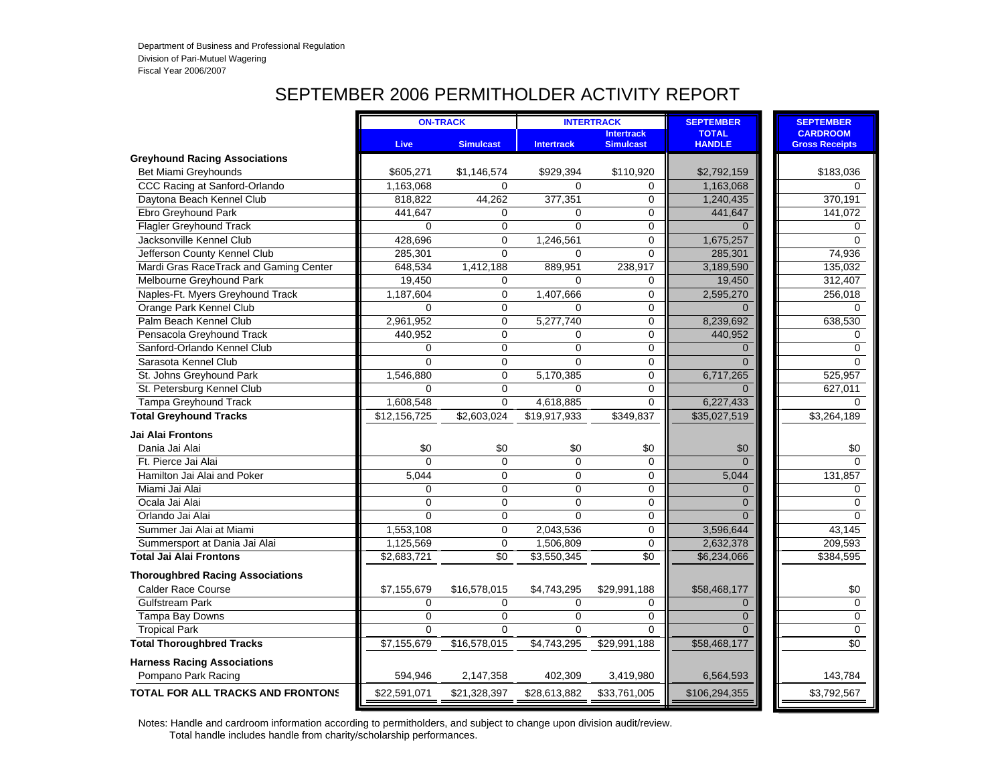#### SEPTEMBER 2006 PERMITHOLDER ACTIVITY REPORT

|                                          |              | <b>ON-TRACK</b>  |                   | <b>INTERTRACK</b>                     | <b>SEPTEMBER</b>              | <b>SEPTEMBER</b>                         |
|------------------------------------------|--------------|------------------|-------------------|---------------------------------------|-------------------------------|------------------------------------------|
|                                          | <b>Live</b>  | <b>Simulcast</b> | <b>Intertrack</b> | <b>Intertrack</b><br><b>Simulcast</b> | <b>TOTAL</b><br><b>HANDLE</b> | <b>CARDROOM</b><br><b>Gross Receipts</b> |
| <b>Greyhound Racing Associations</b>     |              |                  |                   |                                       |                               |                                          |
| Bet Miami Greyhounds                     | \$605,271    | \$1,146,574      | \$929,394         | \$110,920                             | \$2,792,159                   | \$183,036                                |
| CCC Racing at Sanford-Orlando            | 1,163,068    | 0                | $\Omega$          | 0                                     | 1,163,068                     | $\Omega$                                 |
| Daytona Beach Kennel Club                | 818,822      | 44,262           | 377,351           | $\mathbf 0$                           | 1,240,435                     | 370,191                                  |
| Ebro Greyhound Park                      | 441,647      | 0                | $\Omega$          | $\mathbf 0$                           | 441,647                       | 141,072                                  |
| <b>Flagler Greyhound Track</b>           | $\Omega$     | $\Omega$         | $\Omega$          | $\mathbf 0$                           | $\Omega$                      | $\Omega$                                 |
| Jacksonville Kennel Club                 | 428,696      | $\mathbf 0$      | 1,246,561         | $\mathbf 0$                           | 1,675,257                     | 0                                        |
| Jefferson County Kennel Club             | 285,301      | $\Omega$         | 0                 | $\Omega$                              | 285,301                       | 74,936                                   |
| Mardi Gras RaceTrack and Gaming Center   | 648,534      | 1,412,188        | 889,951           | 238,917                               | 3,189,590                     | 135,032                                  |
| Melbourne Greyhound Park                 | 19,450       | 0                | $\Omega$          | 0                                     | 19,450                        | 312,407                                  |
| Naples-Ft. Myers Greyhound Track         | 1,187,604    | 0                | 1,407,666         | 0                                     | 2,595,270                     | 256,018                                  |
| Orange Park Kennel Club                  | $\Omega$     | 0                | $\Omega$          | $\mathbf 0$                           | $\Omega$                      | $\Omega$                                 |
| Palm Beach Kennel Club                   | 2,961,952    | $\Omega$         | 5,277,740         | $\mathbf 0$                           | 8,239,692                     | 638,530                                  |
| Pensacola Greyhound Track                | 440,952      | $\Omega$         | $\Omega$          | $\mathbf 0$                           | 440,952                       | $\Omega$                                 |
| Sanford-Orlando Kennel Club              | $\mathbf 0$  | $\overline{0}$   | 0                 | $\mathbf 0$                           | $\Omega$                      | $\Omega$                                 |
| Sarasota Kennel Club                     | $\Omega$     | $\overline{0}$   | $\Omega$          | $\mathbf 0$                           | $\Omega$                      | $\Omega$                                 |
| St. Johns Greyhound Park                 | 1,546,880    | 0                | 5,170,385         | $\mathbf 0$                           | 6,717,265                     | 525,957                                  |
| St. Petersburg Kennel Club               | $\Omega$     | $\overline{0}$   | $\Omega$          | $\Omega$                              | $\Omega$                      | 627,011                                  |
| <b>Tampa Greyhound Track</b>             | 1,608,548    | 0                | 4,618,885         | $\mathbf 0$                           | 6,227,433                     | $\Omega$                                 |
| <b>Total Greyhound Tracks</b>            | \$12,156,725 | \$2,603,024      | \$19,917,933      | \$349,837                             | \$35,027,519                  | \$3,264,189                              |
| Jai Alai Frontons                        |              |                  |                   |                                       |                               |                                          |
| Dania Jai Alai                           | \$0          | \$0              | \$0               | \$0                                   | \$0                           | \$0                                      |
| Ft. Pierce Jai Alai                      | $\Omega$     | $\mathbf 0$      | 0                 | $\mathbf 0$                           | $\Omega$                      | $\Omega$                                 |
| Hamilton Jai Alai and Poker              | 5,044        | $\overline{0}$   | $\Omega$          | $\mathbf 0$                           | 5,044                         | 131,857                                  |
| Miami Jai Alai                           | $\mathbf 0$  | 0                | 0                 | 0                                     | $\Omega$                      | $\mathbf 0$                              |
| Ocala Jai Alai                           | $\mathbf 0$  | 0                | 0                 | 0                                     | $\Omega$                      | $\mathbf 0$                              |
| Orlando Jai Alai                         | $\Omega$     | $\overline{0}$   | $\Omega$          | $\mathbf 0$                           | $\Omega$                      | $\Omega$                                 |
| Summer Jai Alai at Miami                 | 1,553,108    | $\Omega$         | 2,043,536         | $\mathbf 0$                           | 3,596,644                     | 43,145                                   |
| Summersport at Dania Jai Alai            | 1,125,569    | 0                | 1,506,809         | 0                                     | 2,632,378                     | 209,593                                  |
| <b>Total Jai Alai Frontons</b>           | \$2,683,721  | \$0              | \$3,550,345       | $\sqrt{6}$                            | \$6,234,066                   | \$384,595                                |
| <b>Thoroughbred Racing Associations</b>  |              |                  |                   |                                       |                               |                                          |
| <b>Calder Race Course</b>                | \$7,155,679  | \$16,578,015     | \$4,743,295       | \$29,991,188                          | \$58,468,177                  | \$0                                      |
| Gulfstream Park                          | $\mathbf 0$  | $\Omega$         | 0                 | $\mathbf 0$                           | $\Omega$                      | $\mathbf 0$                              |
| Tampa Bay Downs                          | $\Omega$     | $\Omega$         | $\Omega$          | $\mathbf 0$                           | $\Omega$                      | $\Omega$                                 |
| <b>Tropical Park</b>                     | $\mathbf 0$  | $\Omega$         | 0                 | $\mathbf 0$                           | $\Omega$                      | $\mathbf 0$                              |
| <b>Total Thoroughbred Tracks</b>         | \$7,155,679  | \$16,578,015     | \$4,743,295       | \$29,991,188                          | \$58,468,177                  | $\overline{50}$                          |
| <b>Harness Racing Associations</b>       |              |                  |                   |                                       |                               |                                          |
| Pompano Park Racing                      | 594,946      | 2,147,358        | 402,309           | 3,419,980                             | 6,564,593                     | 143,784                                  |
| <b>TOTAL FOR ALL TRACKS AND FRONTONS</b> | \$22,591,071 |                  | \$28,613,882      | \$33,761,005                          | \$106,294,355                 | \$3,792,567                              |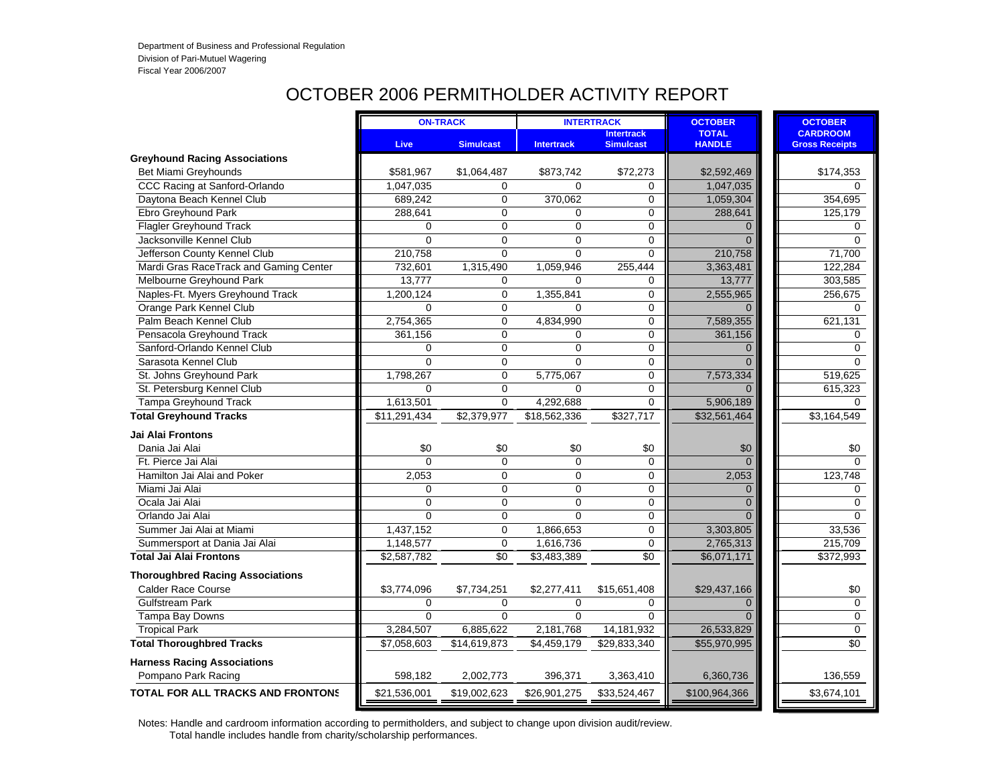#### OCTOBER 2006 PERMITHOLDER ACTIVITY REPORT

|                                          |                | <b>ON-TRACK</b>  |                   | <b>INTERTRACK</b>                     | <b>OCTOBER</b>                | <b>OCTOBER</b>                           |
|------------------------------------------|----------------|------------------|-------------------|---------------------------------------|-------------------------------|------------------------------------------|
|                                          | <b>Live</b>    | <b>Simulcast</b> | <b>Intertrack</b> | <b>Intertrack</b><br><b>Simulcast</b> | <b>TOTAL</b><br><b>HANDLE</b> | <b>CARDROOM</b><br><b>Gross Receipts</b> |
| <b>Greyhound Racing Associations</b>     |                |                  |                   |                                       |                               |                                          |
| Bet Miami Greyhounds                     | \$581,967      | \$1,064,487      | \$873,742         | \$72,273                              | \$2,592,469                   | \$174,353                                |
| CCC Racing at Sanford-Orlando            | 1,047,035      | 0                | $\Omega$          | 0                                     | 1,047,035                     | $\Omega$                                 |
| Daytona Beach Kennel Club                | 689,242        | $\mathbf 0$      | 370,062           | 0                                     | 1,059,304                     | 354,695                                  |
| Ebro Greyhound Park                      | 288.641        | $\Omega$         | $\Omega$          | 0                                     | 288.641                       | 125,179                                  |
| <b>Flagler Greyhound Track</b>           | 0              | $\mathbf 0$      | 0                 | 0                                     | $\Omega$                      | 0                                        |
| Jacksonville Kennel Club                 | $\Omega$       | $\mathbf 0$      | 0                 | 0                                     | $\Omega$                      | $\mathbf 0$                              |
| Jefferson County Kennel Club             | 210,758        | $\Omega$         | $\overline{0}$    | 0                                     | 210,758                       | 71,700                                   |
| Mardi Gras RaceTrack and Gaming Center   | 732,601        | 1,315,490        | 1,059,946         | 255,444                               | 3,363,481                     | 122,284                                  |
| Melbourne Greyhound Park                 | 13,777         | 0                | 0                 | 0                                     | 13,777                        | 303,585                                  |
| Naples-Ft. Myers Greyhound Track         | 1,200,124      | $\mathbf 0$      | 1,355,841         | 0                                     | 2,555,965                     | 256,675                                  |
| Orange Park Kennel Club                  | $\Omega$       | $\mathbf 0$      | $\Omega$          | 0                                     | $\Omega$                      | $\Omega$                                 |
| Palm Beach Kennel Club                   | 2,754,365      | 0                | 4,834,990         | 0                                     | 7,589,355                     | 621,131                                  |
| Pensacola Greyhound Track                | 361,156        | $\mathbf 0$      | 0                 | 0                                     | 361,156                       | $\mathbf 0$                              |
| Sanford-Orlando Kennel Club              | $\Omega$       | $\Omega$         | $\Omega$          | 0                                     | $\Omega$                      | $\Omega$                                 |
| Sarasota Kennel Club                     | $\Omega$       | $\Omega$         | $\Omega$          | 0                                     | $\Omega$                      | $\Omega$                                 |
| St. Johns Greyhound Park                 | 1,798,267      | $\mathbf 0$      | 5,775,067         | 0                                     | 7,573,334                     | 519,625                                  |
| St. Petersburg Kennel Club               | $\overline{0}$ | $\mathbf 0$      | $\overline{0}$    | 0                                     |                               | 615,323                                  |
| <b>Tampa Greyhound Track</b>             | 1,613,501      | $\Omega$         | 4,292,688         | 0                                     | 5,906,189                     | $\Omega$                                 |
| <b>Total Greyhound Tracks</b>            | \$11,291,434   | \$2,379,977      | \$18,562,336      | \$327,717                             | \$32,561,464                  | \$3,164,549                              |
| <b>Jai Alai Frontons</b>                 |                |                  |                   |                                       |                               |                                          |
| Dania Jai Alai                           | \$0            | \$0              | \$0               | \$0                                   | \$0                           | \$0                                      |
| Ft. Pierce Jai Alai                      | $\Omega$       | $\Omega$         | $\Omega$          | 0                                     | $\Omega$                      | $\Omega$                                 |
| Hamilton Jai Alai and Poker              | 2,053          | $\Omega$         | $\Omega$          | 0                                     | 2,053                         | 123,748                                  |
| Miami Jai Alai                           | 0              | $\Omega$         | $\Omega$          | 0                                     | $\Omega$                      | 0                                        |
| Ocala Jai Alai                           | $\Omega$       | $\Omega$         | 0                 | 0                                     | $\Omega$                      | 0                                        |
| Orlando Jai Alai                         | $\overline{0}$ | $\mathbf 0$      | $\overline{0}$    | 0                                     | $\Omega$                      | 0                                        |
| Summer Jai Alai at Miami                 | 1,437,152      | $\mathbf 0$      | 1,866,653         | 0                                     | 3,303,805                     | 33,536                                   |
| Summersport at Dania Jai Alai            | 1,148,577      | $\mathbf 0$      | 1,616,736         | $\mathbf 0$                           | 2,765,313                     | 215,709                                  |
| <b>Total Jai Alai Frontons</b>           | \$2,587,782    | $\overline{50}$  | \$3,483,389       | $\sqrt{6}$                            | \$6,071,171                   | \$372,993                                |
| <b>Thoroughbred Racing Associations</b>  |                |                  |                   |                                       |                               |                                          |
| <b>Calder Race Course</b>                | \$3,774,096    | \$7,734,251      | \$2,277,411       | \$15,651,408                          | \$29,437,166                  | \$0                                      |
| <b>Gulfstream Park</b>                   | 0              | $\mathbf 0$      | 0                 | 0                                     | $\Omega$                      | $\mathbf 0$                              |
| Tampa Bay Downs                          | $\Omega$       | $\Omega$         | $\Omega$          | $\Omega$                              | $\Omega$                      | 0                                        |
| <b>Tropical Park</b>                     | 3,284,507      | 6,885,622        | 2,181,768         | 14,181,932                            | 26,533,829                    | 0                                        |
| <b>Total Thoroughbred Tracks</b>         | \$7,058,603    | \$14,619,873     | \$4,459,179       | \$29,833,340                          | \$55,970,995                  | \$0                                      |
| <b>Harness Racing Associations</b>       |                |                  |                   |                                       |                               |                                          |
| Pompano Park Racing                      | 598,182        | 2,002,773        | 396,371           | 3,363,410                             | 6,360,736                     | 136,559                                  |
| <b>TOTAL FOR ALL TRACKS AND FRONTONS</b> | \$21,536,001   | \$19,002,623     | \$26,901,275      | \$33,524,467                          | \$100,964,366                 | \$3,674,101                              |
|                                          |                |                  |                   |                                       |                               |                                          |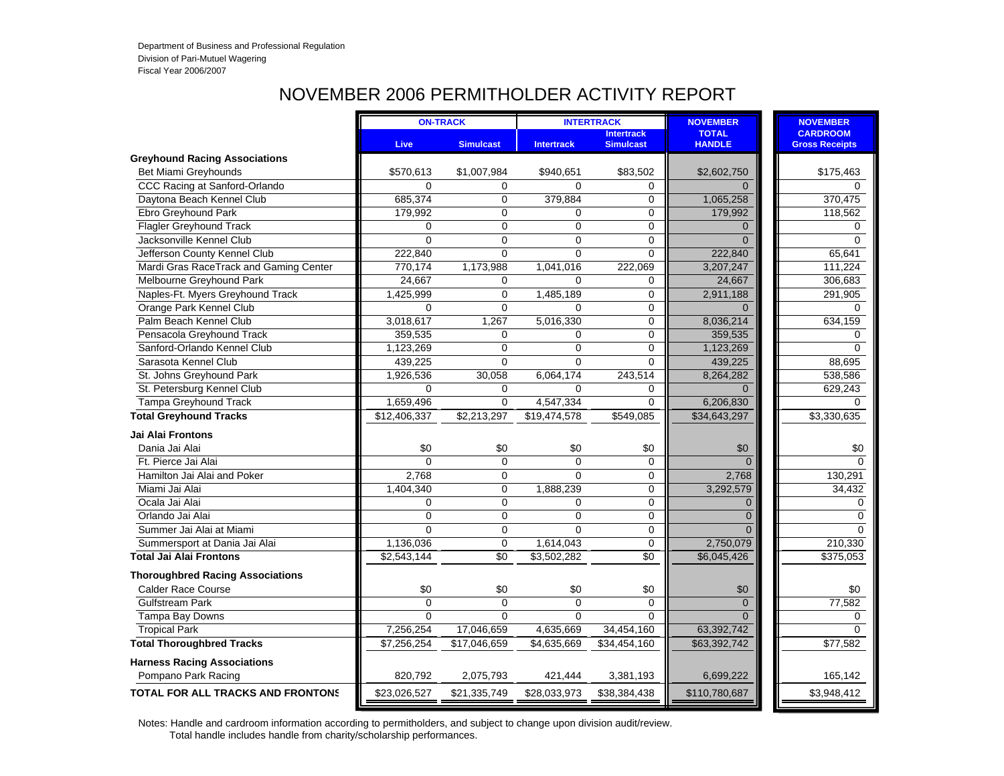# NOVEMBER 2006 PERMITHOLDER ACTIVITY REPORT

| <b>CARDROOM</b><br><b>Intertrack</b><br><b>TOTAL</b><br><b>HANDLE</b><br>Live<br><b>Simulcast</b><br><b>Gross Receipts</b><br><b>Simulcast</b><br><b>Intertrack</b><br>Bet Miami Greyhounds<br>\$1,007,984<br>\$83,502<br>\$2,602,750<br>\$175,463<br>\$570,613<br>\$940,651<br>CCC Racing at Sanford-Orlando<br>$\Omega$<br>0<br>$\Omega$<br>0<br>$\Omega$<br>685,374<br>370,475<br>Daytona Beach Kennel Club<br>$\Omega$<br>379,884<br>0<br>1,065,258<br>Ebro Greyhound Park<br>179,992<br>$\Omega$<br>0<br>179.992<br>$\Omega$<br>118,562<br><b>Flagler Greyhound Track</b><br>0<br>0<br>$\Omega$<br>$\Omega$<br>$\Omega$<br>Jacksonville Kennel Club<br>$\overline{0}$<br>0<br>$\Omega$<br>$\Omega$<br>$\Omega$<br>Jefferson County Kennel Club<br>222,840<br>$\mathbf{0}$<br>$\overline{0}$<br>0<br>222,840<br>65,641<br>Mardi Gras RaceTrack and Gaming Center<br>3,207,247<br>770,174<br>1,173,988<br>1,041,016<br>222,069<br>111,224<br>Melbourne Greyhound Park<br>24,667<br>24,667<br>306,683<br>$\Omega$<br>$\Omega$<br>0<br>Naples-Ft. Myers Greyhound Track<br>$\mathbf 0$<br>2,911,188<br>1,425,999<br>1,485,189<br>0<br>291,905<br>Orange Park Kennel Club<br>$\overline{0}$<br>0<br>$\Omega$<br>$\Omega$<br>$\Omega$<br>Palm Beach Kennel Club<br>3,018,617<br>1,267<br>5,016,330<br>0<br>8,036,214<br>634,159<br>$\Omega$<br>359,535<br>Pensacola Greyhound Track<br>359,535<br>$\Omega$<br>$\Omega$<br>$\Omega$<br>Sanford-Orlando Kennel Club<br>$\Omega$<br>0<br>1,123,269<br>1,123,269<br>$\Omega$<br>Sarasota Kennel Club<br>439,225<br>$\Omega$<br>439,225<br>88,695<br>$\Omega$<br>$\Omega$<br>St. Johns Greyhound Park<br>1,926,536<br>30,058<br>6,064,174<br>243,514<br>8,264,282<br>538,586<br>St. Petersburg Kennel Club<br>$\Omega$<br>$\mathbf 0$<br>$\Omega$<br>0<br>$\Omega$<br>629,243<br><b>Tampa Greyhound Track</b><br>1,659,496<br>$\Omega$<br>4,547,334<br>$\Omega$<br>6,206,830<br>$\Omega$<br><b>Total Greyhound Tracks</b><br>\$34,643,297<br>\$12,406,337<br>\$2,213,297<br>\$19,474,578<br>\$549,085<br>\$3,330,635<br><b>Jai Alai Frontons</b><br>Dania Jai Alai<br>\$0<br>\$0<br>\$0<br>\$0<br>\$0<br>$\Omega$<br>$\Omega$<br>0<br>Ft. Pierce Jai Alai<br>$\Omega$<br>$\Omega$<br>0<br>Hamilton Jai Alai and Poker<br>2,768<br>$\Omega$<br>$\Omega$<br>2,768<br>0<br>3,292,579<br>Miami Jai Alai<br>1,404,340<br>$\Omega$<br>1,888,239<br>$\mathbf 0$<br>0<br>Ocala Jai Alai<br>0<br>0<br>0<br>0<br>Orlando Jai Alai<br>$\Omega$<br>$\mathbf 0$<br>$\overline{0}$<br>$\Omega$<br>Summer Jai Alai at Miami<br>$\mathbf 0$<br>$\Omega$<br>$\Omega$<br>$\Omega$<br>$\Omega$<br>1,614,043<br>Summersport at Dania Jai Alai<br>1,136,036<br>$\mathbf 0$<br>0<br>2,750,079<br>\$0<br>\$0<br>\$6,045,426<br><b>Total Jai Alai Frontons</b><br>\$2,543,144<br>\$3,502,282<br><b>Thoroughbred Racing Associations</b><br><b>Calder Race Course</b><br>\$0<br>\$0<br>\$0<br>\$0<br>\$0<br>\$0<br>$\Omega$<br>$\Omega$<br>$\Omega$<br>77,582<br><b>Gulfstream Park</b><br>$\Omega$<br>$\Omega$<br>Tampa Bay Downs<br>$\Omega$<br>$\Omega$<br>$\Omega$<br>$\Omega$<br>$\Omega$<br><b>Tropical Park</b><br>7,256,254<br>17,046,659<br>4,635,669<br>34,454,160<br>63,392,742<br>$\Omega$<br><b>Total Thoroughbred Tracks</b><br>\$17,046,659<br>\$63,392,742<br>\$77,582<br>\$7,256,254<br>\$4,635,669<br>\$34,454,160<br><b>Harness Racing Associations</b> |                     |         | <b>ON-TRACK</b> |         | <b>INTERTRACK</b> | <b>NOVEMBER</b> | <b>NOVEMBER</b> |
|---------------------------------------------------------------------------------------------------------------------------------------------------------------------------------------------------------------------------------------------------------------------------------------------------------------------------------------------------------------------------------------------------------------------------------------------------------------------------------------------------------------------------------------------------------------------------------------------------------------------------------------------------------------------------------------------------------------------------------------------------------------------------------------------------------------------------------------------------------------------------------------------------------------------------------------------------------------------------------------------------------------------------------------------------------------------------------------------------------------------------------------------------------------------------------------------------------------------------------------------------------------------------------------------------------------------------------------------------------------------------------------------------------------------------------------------------------------------------------------------------------------------------------------------------------------------------------------------------------------------------------------------------------------------------------------------------------------------------------------------------------------------------------------------------------------------------------------------------------------------------------------------------------------------------------------------------------------------------------------------------------------------------------------------------------------------------------------------------------------------------------------------------------------------------------------------------------------------------------------------------------------------------------------------------------------------------------------------------------------------------------------------------------------------------------------------------------------------------------------------------------------------------------------------------------------------------------------------------------------------------------------------------------------------------------------------------------------------------------------------------------------------------------------------------------------------------------------------------------------------------------------------------------------------------------------------------------------------------------------------------------------------------------------------------------------------------------------------------------------------------------------------------------------------------------------------------------------------------------------------------------------------------------------------------------------------------------------------------------------------------------------------|---------------------|---------|-----------------|---------|-------------------|-----------------|-----------------|
| <b>Greyhound Racing Associations</b>                                                                                                                                                                                                                                                                                                                                                                                                                                                                                                                                                                                                                                                                                                                                                                                                                                                                                                                                                                                                                                                                                                                                                                                                                                                                                                                                                                                                                                                                                                                                                                                                                                                                                                                                                                                                                                                                                                                                                                                                                                                                                                                                                                                                                                                                                                                                                                                                                                                                                                                                                                                                                                                                                                                                                                                                                                                                                                                                                                                                                                                                                                                                                                                                                                                                                                                                                        |                     |         |                 |         |                   |                 |                 |
|                                                                                                                                                                                                                                                                                                                                                                                                                                                                                                                                                                                                                                                                                                                                                                                                                                                                                                                                                                                                                                                                                                                                                                                                                                                                                                                                                                                                                                                                                                                                                                                                                                                                                                                                                                                                                                                                                                                                                                                                                                                                                                                                                                                                                                                                                                                                                                                                                                                                                                                                                                                                                                                                                                                                                                                                                                                                                                                                                                                                                                                                                                                                                                                                                                                                                                                                                                                             |                     |         |                 |         |                   |                 |                 |
|                                                                                                                                                                                                                                                                                                                                                                                                                                                                                                                                                                                                                                                                                                                                                                                                                                                                                                                                                                                                                                                                                                                                                                                                                                                                                                                                                                                                                                                                                                                                                                                                                                                                                                                                                                                                                                                                                                                                                                                                                                                                                                                                                                                                                                                                                                                                                                                                                                                                                                                                                                                                                                                                                                                                                                                                                                                                                                                                                                                                                                                                                                                                                                                                                                                                                                                                                                                             |                     |         |                 |         |                   |                 |                 |
|                                                                                                                                                                                                                                                                                                                                                                                                                                                                                                                                                                                                                                                                                                                                                                                                                                                                                                                                                                                                                                                                                                                                                                                                                                                                                                                                                                                                                                                                                                                                                                                                                                                                                                                                                                                                                                                                                                                                                                                                                                                                                                                                                                                                                                                                                                                                                                                                                                                                                                                                                                                                                                                                                                                                                                                                                                                                                                                                                                                                                                                                                                                                                                                                                                                                                                                                                                                             |                     |         |                 |         |                   |                 | $\Omega$        |
|                                                                                                                                                                                                                                                                                                                                                                                                                                                                                                                                                                                                                                                                                                                                                                                                                                                                                                                                                                                                                                                                                                                                                                                                                                                                                                                                                                                                                                                                                                                                                                                                                                                                                                                                                                                                                                                                                                                                                                                                                                                                                                                                                                                                                                                                                                                                                                                                                                                                                                                                                                                                                                                                                                                                                                                                                                                                                                                                                                                                                                                                                                                                                                                                                                                                                                                                                                                             |                     |         |                 |         |                   |                 |                 |
|                                                                                                                                                                                                                                                                                                                                                                                                                                                                                                                                                                                                                                                                                                                                                                                                                                                                                                                                                                                                                                                                                                                                                                                                                                                                                                                                                                                                                                                                                                                                                                                                                                                                                                                                                                                                                                                                                                                                                                                                                                                                                                                                                                                                                                                                                                                                                                                                                                                                                                                                                                                                                                                                                                                                                                                                                                                                                                                                                                                                                                                                                                                                                                                                                                                                                                                                                                                             |                     |         |                 |         |                   |                 |                 |
|                                                                                                                                                                                                                                                                                                                                                                                                                                                                                                                                                                                                                                                                                                                                                                                                                                                                                                                                                                                                                                                                                                                                                                                                                                                                                                                                                                                                                                                                                                                                                                                                                                                                                                                                                                                                                                                                                                                                                                                                                                                                                                                                                                                                                                                                                                                                                                                                                                                                                                                                                                                                                                                                                                                                                                                                                                                                                                                                                                                                                                                                                                                                                                                                                                                                                                                                                                                             |                     |         |                 |         |                   |                 | $\Omega$        |
|                                                                                                                                                                                                                                                                                                                                                                                                                                                                                                                                                                                                                                                                                                                                                                                                                                                                                                                                                                                                                                                                                                                                                                                                                                                                                                                                                                                                                                                                                                                                                                                                                                                                                                                                                                                                                                                                                                                                                                                                                                                                                                                                                                                                                                                                                                                                                                                                                                                                                                                                                                                                                                                                                                                                                                                                                                                                                                                                                                                                                                                                                                                                                                                                                                                                                                                                                                                             |                     |         |                 |         |                   |                 | $\Omega$        |
|                                                                                                                                                                                                                                                                                                                                                                                                                                                                                                                                                                                                                                                                                                                                                                                                                                                                                                                                                                                                                                                                                                                                                                                                                                                                                                                                                                                                                                                                                                                                                                                                                                                                                                                                                                                                                                                                                                                                                                                                                                                                                                                                                                                                                                                                                                                                                                                                                                                                                                                                                                                                                                                                                                                                                                                                                                                                                                                                                                                                                                                                                                                                                                                                                                                                                                                                                                                             |                     |         |                 |         |                   |                 |                 |
|                                                                                                                                                                                                                                                                                                                                                                                                                                                                                                                                                                                                                                                                                                                                                                                                                                                                                                                                                                                                                                                                                                                                                                                                                                                                                                                                                                                                                                                                                                                                                                                                                                                                                                                                                                                                                                                                                                                                                                                                                                                                                                                                                                                                                                                                                                                                                                                                                                                                                                                                                                                                                                                                                                                                                                                                                                                                                                                                                                                                                                                                                                                                                                                                                                                                                                                                                                                             |                     |         |                 |         |                   |                 |                 |
|                                                                                                                                                                                                                                                                                                                                                                                                                                                                                                                                                                                                                                                                                                                                                                                                                                                                                                                                                                                                                                                                                                                                                                                                                                                                                                                                                                                                                                                                                                                                                                                                                                                                                                                                                                                                                                                                                                                                                                                                                                                                                                                                                                                                                                                                                                                                                                                                                                                                                                                                                                                                                                                                                                                                                                                                                                                                                                                                                                                                                                                                                                                                                                                                                                                                                                                                                                                             |                     |         |                 |         |                   |                 |                 |
|                                                                                                                                                                                                                                                                                                                                                                                                                                                                                                                                                                                                                                                                                                                                                                                                                                                                                                                                                                                                                                                                                                                                                                                                                                                                                                                                                                                                                                                                                                                                                                                                                                                                                                                                                                                                                                                                                                                                                                                                                                                                                                                                                                                                                                                                                                                                                                                                                                                                                                                                                                                                                                                                                                                                                                                                                                                                                                                                                                                                                                                                                                                                                                                                                                                                                                                                                                                             |                     |         |                 |         |                   |                 |                 |
|                                                                                                                                                                                                                                                                                                                                                                                                                                                                                                                                                                                                                                                                                                                                                                                                                                                                                                                                                                                                                                                                                                                                                                                                                                                                                                                                                                                                                                                                                                                                                                                                                                                                                                                                                                                                                                                                                                                                                                                                                                                                                                                                                                                                                                                                                                                                                                                                                                                                                                                                                                                                                                                                                                                                                                                                                                                                                                                                                                                                                                                                                                                                                                                                                                                                                                                                                                                             |                     |         |                 |         |                   |                 | $\Omega$        |
|                                                                                                                                                                                                                                                                                                                                                                                                                                                                                                                                                                                                                                                                                                                                                                                                                                                                                                                                                                                                                                                                                                                                                                                                                                                                                                                                                                                                                                                                                                                                                                                                                                                                                                                                                                                                                                                                                                                                                                                                                                                                                                                                                                                                                                                                                                                                                                                                                                                                                                                                                                                                                                                                                                                                                                                                                                                                                                                                                                                                                                                                                                                                                                                                                                                                                                                                                                                             |                     |         |                 |         |                   |                 |                 |
|                                                                                                                                                                                                                                                                                                                                                                                                                                                                                                                                                                                                                                                                                                                                                                                                                                                                                                                                                                                                                                                                                                                                                                                                                                                                                                                                                                                                                                                                                                                                                                                                                                                                                                                                                                                                                                                                                                                                                                                                                                                                                                                                                                                                                                                                                                                                                                                                                                                                                                                                                                                                                                                                                                                                                                                                                                                                                                                                                                                                                                                                                                                                                                                                                                                                                                                                                                                             |                     |         |                 |         |                   |                 |                 |
|                                                                                                                                                                                                                                                                                                                                                                                                                                                                                                                                                                                                                                                                                                                                                                                                                                                                                                                                                                                                                                                                                                                                                                                                                                                                                                                                                                                                                                                                                                                                                                                                                                                                                                                                                                                                                                                                                                                                                                                                                                                                                                                                                                                                                                                                                                                                                                                                                                                                                                                                                                                                                                                                                                                                                                                                                                                                                                                                                                                                                                                                                                                                                                                                                                                                                                                                                                                             |                     |         |                 |         |                   |                 | $\Omega$        |
|                                                                                                                                                                                                                                                                                                                                                                                                                                                                                                                                                                                                                                                                                                                                                                                                                                                                                                                                                                                                                                                                                                                                                                                                                                                                                                                                                                                                                                                                                                                                                                                                                                                                                                                                                                                                                                                                                                                                                                                                                                                                                                                                                                                                                                                                                                                                                                                                                                                                                                                                                                                                                                                                                                                                                                                                                                                                                                                                                                                                                                                                                                                                                                                                                                                                                                                                                                                             |                     |         |                 |         |                   |                 |                 |
|                                                                                                                                                                                                                                                                                                                                                                                                                                                                                                                                                                                                                                                                                                                                                                                                                                                                                                                                                                                                                                                                                                                                                                                                                                                                                                                                                                                                                                                                                                                                                                                                                                                                                                                                                                                                                                                                                                                                                                                                                                                                                                                                                                                                                                                                                                                                                                                                                                                                                                                                                                                                                                                                                                                                                                                                                                                                                                                                                                                                                                                                                                                                                                                                                                                                                                                                                                                             |                     |         |                 |         |                   |                 |                 |
|                                                                                                                                                                                                                                                                                                                                                                                                                                                                                                                                                                                                                                                                                                                                                                                                                                                                                                                                                                                                                                                                                                                                                                                                                                                                                                                                                                                                                                                                                                                                                                                                                                                                                                                                                                                                                                                                                                                                                                                                                                                                                                                                                                                                                                                                                                                                                                                                                                                                                                                                                                                                                                                                                                                                                                                                                                                                                                                                                                                                                                                                                                                                                                                                                                                                                                                                                                                             |                     |         |                 |         |                   |                 |                 |
|                                                                                                                                                                                                                                                                                                                                                                                                                                                                                                                                                                                                                                                                                                                                                                                                                                                                                                                                                                                                                                                                                                                                                                                                                                                                                                                                                                                                                                                                                                                                                                                                                                                                                                                                                                                                                                                                                                                                                                                                                                                                                                                                                                                                                                                                                                                                                                                                                                                                                                                                                                                                                                                                                                                                                                                                                                                                                                                                                                                                                                                                                                                                                                                                                                                                                                                                                                                             |                     |         |                 |         |                   |                 |                 |
|                                                                                                                                                                                                                                                                                                                                                                                                                                                                                                                                                                                                                                                                                                                                                                                                                                                                                                                                                                                                                                                                                                                                                                                                                                                                                                                                                                                                                                                                                                                                                                                                                                                                                                                                                                                                                                                                                                                                                                                                                                                                                                                                                                                                                                                                                                                                                                                                                                                                                                                                                                                                                                                                                                                                                                                                                                                                                                                                                                                                                                                                                                                                                                                                                                                                                                                                                                                             |                     |         |                 |         |                   |                 |                 |
|                                                                                                                                                                                                                                                                                                                                                                                                                                                                                                                                                                                                                                                                                                                                                                                                                                                                                                                                                                                                                                                                                                                                                                                                                                                                                                                                                                                                                                                                                                                                                                                                                                                                                                                                                                                                                                                                                                                                                                                                                                                                                                                                                                                                                                                                                                                                                                                                                                                                                                                                                                                                                                                                                                                                                                                                                                                                                                                                                                                                                                                                                                                                                                                                                                                                                                                                                                                             |                     |         |                 |         |                   |                 |                 |
|                                                                                                                                                                                                                                                                                                                                                                                                                                                                                                                                                                                                                                                                                                                                                                                                                                                                                                                                                                                                                                                                                                                                                                                                                                                                                                                                                                                                                                                                                                                                                                                                                                                                                                                                                                                                                                                                                                                                                                                                                                                                                                                                                                                                                                                                                                                                                                                                                                                                                                                                                                                                                                                                                                                                                                                                                                                                                                                                                                                                                                                                                                                                                                                                                                                                                                                                                                                             |                     |         |                 |         |                   |                 | \$0             |
|                                                                                                                                                                                                                                                                                                                                                                                                                                                                                                                                                                                                                                                                                                                                                                                                                                                                                                                                                                                                                                                                                                                                                                                                                                                                                                                                                                                                                                                                                                                                                                                                                                                                                                                                                                                                                                                                                                                                                                                                                                                                                                                                                                                                                                                                                                                                                                                                                                                                                                                                                                                                                                                                                                                                                                                                                                                                                                                                                                                                                                                                                                                                                                                                                                                                                                                                                                                             |                     |         |                 |         |                   |                 | $\Omega$        |
|                                                                                                                                                                                                                                                                                                                                                                                                                                                                                                                                                                                                                                                                                                                                                                                                                                                                                                                                                                                                                                                                                                                                                                                                                                                                                                                                                                                                                                                                                                                                                                                                                                                                                                                                                                                                                                                                                                                                                                                                                                                                                                                                                                                                                                                                                                                                                                                                                                                                                                                                                                                                                                                                                                                                                                                                                                                                                                                                                                                                                                                                                                                                                                                                                                                                                                                                                                                             |                     |         |                 |         |                   |                 | 130,291         |
|                                                                                                                                                                                                                                                                                                                                                                                                                                                                                                                                                                                                                                                                                                                                                                                                                                                                                                                                                                                                                                                                                                                                                                                                                                                                                                                                                                                                                                                                                                                                                                                                                                                                                                                                                                                                                                                                                                                                                                                                                                                                                                                                                                                                                                                                                                                                                                                                                                                                                                                                                                                                                                                                                                                                                                                                                                                                                                                                                                                                                                                                                                                                                                                                                                                                                                                                                                                             |                     |         |                 |         |                   |                 | 34,432          |
|                                                                                                                                                                                                                                                                                                                                                                                                                                                                                                                                                                                                                                                                                                                                                                                                                                                                                                                                                                                                                                                                                                                                                                                                                                                                                                                                                                                                                                                                                                                                                                                                                                                                                                                                                                                                                                                                                                                                                                                                                                                                                                                                                                                                                                                                                                                                                                                                                                                                                                                                                                                                                                                                                                                                                                                                                                                                                                                                                                                                                                                                                                                                                                                                                                                                                                                                                                                             |                     |         |                 |         |                   |                 | 0               |
|                                                                                                                                                                                                                                                                                                                                                                                                                                                                                                                                                                                                                                                                                                                                                                                                                                                                                                                                                                                                                                                                                                                                                                                                                                                                                                                                                                                                                                                                                                                                                                                                                                                                                                                                                                                                                                                                                                                                                                                                                                                                                                                                                                                                                                                                                                                                                                                                                                                                                                                                                                                                                                                                                                                                                                                                                                                                                                                                                                                                                                                                                                                                                                                                                                                                                                                                                                                             |                     |         |                 |         |                   |                 | 0               |
|                                                                                                                                                                                                                                                                                                                                                                                                                                                                                                                                                                                                                                                                                                                                                                                                                                                                                                                                                                                                                                                                                                                                                                                                                                                                                                                                                                                                                                                                                                                                                                                                                                                                                                                                                                                                                                                                                                                                                                                                                                                                                                                                                                                                                                                                                                                                                                                                                                                                                                                                                                                                                                                                                                                                                                                                                                                                                                                                                                                                                                                                                                                                                                                                                                                                                                                                                                                             |                     |         |                 |         |                   |                 | $\Omega$        |
|                                                                                                                                                                                                                                                                                                                                                                                                                                                                                                                                                                                                                                                                                                                                                                                                                                                                                                                                                                                                                                                                                                                                                                                                                                                                                                                                                                                                                                                                                                                                                                                                                                                                                                                                                                                                                                                                                                                                                                                                                                                                                                                                                                                                                                                                                                                                                                                                                                                                                                                                                                                                                                                                                                                                                                                                                                                                                                                                                                                                                                                                                                                                                                                                                                                                                                                                                                                             |                     |         |                 |         |                   |                 | 210,330         |
|                                                                                                                                                                                                                                                                                                                                                                                                                                                                                                                                                                                                                                                                                                                                                                                                                                                                                                                                                                                                                                                                                                                                                                                                                                                                                                                                                                                                                                                                                                                                                                                                                                                                                                                                                                                                                                                                                                                                                                                                                                                                                                                                                                                                                                                                                                                                                                                                                                                                                                                                                                                                                                                                                                                                                                                                                                                                                                                                                                                                                                                                                                                                                                                                                                                                                                                                                                                             |                     |         |                 |         |                   |                 | \$375,053       |
|                                                                                                                                                                                                                                                                                                                                                                                                                                                                                                                                                                                                                                                                                                                                                                                                                                                                                                                                                                                                                                                                                                                                                                                                                                                                                                                                                                                                                                                                                                                                                                                                                                                                                                                                                                                                                                                                                                                                                                                                                                                                                                                                                                                                                                                                                                                                                                                                                                                                                                                                                                                                                                                                                                                                                                                                                                                                                                                                                                                                                                                                                                                                                                                                                                                                                                                                                                                             |                     |         |                 |         |                   |                 |                 |
|                                                                                                                                                                                                                                                                                                                                                                                                                                                                                                                                                                                                                                                                                                                                                                                                                                                                                                                                                                                                                                                                                                                                                                                                                                                                                                                                                                                                                                                                                                                                                                                                                                                                                                                                                                                                                                                                                                                                                                                                                                                                                                                                                                                                                                                                                                                                                                                                                                                                                                                                                                                                                                                                                                                                                                                                                                                                                                                                                                                                                                                                                                                                                                                                                                                                                                                                                                                             |                     |         |                 |         |                   |                 |                 |
|                                                                                                                                                                                                                                                                                                                                                                                                                                                                                                                                                                                                                                                                                                                                                                                                                                                                                                                                                                                                                                                                                                                                                                                                                                                                                                                                                                                                                                                                                                                                                                                                                                                                                                                                                                                                                                                                                                                                                                                                                                                                                                                                                                                                                                                                                                                                                                                                                                                                                                                                                                                                                                                                                                                                                                                                                                                                                                                                                                                                                                                                                                                                                                                                                                                                                                                                                                                             |                     |         |                 |         |                   |                 |                 |
|                                                                                                                                                                                                                                                                                                                                                                                                                                                                                                                                                                                                                                                                                                                                                                                                                                                                                                                                                                                                                                                                                                                                                                                                                                                                                                                                                                                                                                                                                                                                                                                                                                                                                                                                                                                                                                                                                                                                                                                                                                                                                                                                                                                                                                                                                                                                                                                                                                                                                                                                                                                                                                                                                                                                                                                                                                                                                                                                                                                                                                                                                                                                                                                                                                                                                                                                                                                             |                     |         |                 |         |                   |                 | 0               |
|                                                                                                                                                                                                                                                                                                                                                                                                                                                                                                                                                                                                                                                                                                                                                                                                                                                                                                                                                                                                                                                                                                                                                                                                                                                                                                                                                                                                                                                                                                                                                                                                                                                                                                                                                                                                                                                                                                                                                                                                                                                                                                                                                                                                                                                                                                                                                                                                                                                                                                                                                                                                                                                                                                                                                                                                                                                                                                                                                                                                                                                                                                                                                                                                                                                                                                                                                                                             |                     |         |                 |         |                   |                 |                 |
|                                                                                                                                                                                                                                                                                                                                                                                                                                                                                                                                                                                                                                                                                                                                                                                                                                                                                                                                                                                                                                                                                                                                                                                                                                                                                                                                                                                                                                                                                                                                                                                                                                                                                                                                                                                                                                                                                                                                                                                                                                                                                                                                                                                                                                                                                                                                                                                                                                                                                                                                                                                                                                                                                                                                                                                                                                                                                                                                                                                                                                                                                                                                                                                                                                                                                                                                                                                             |                     |         |                 |         |                   |                 |                 |
|                                                                                                                                                                                                                                                                                                                                                                                                                                                                                                                                                                                                                                                                                                                                                                                                                                                                                                                                                                                                                                                                                                                                                                                                                                                                                                                                                                                                                                                                                                                                                                                                                                                                                                                                                                                                                                                                                                                                                                                                                                                                                                                                                                                                                                                                                                                                                                                                                                                                                                                                                                                                                                                                                                                                                                                                                                                                                                                                                                                                                                                                                                                                                                                                                                                                                                                                                                                             |                     |         |                 |         |                   |                 |                 |
|                                                                                                                                                                                                                                                                                                                                                                                                                                                                                                                                                                                                                                                                                                                                                                                                                                                                                                                                                                                                                                                                                                                                                                                                                                                                                                                                                                                                                                                                                                                                                                                                                                                                                                                                                                                                                                                                                                                                                                                                                                                                                                                                                                                                                                                                                                                                                                                                                                                                                                                                                                                                                                                                                                                                                                                                                                                                                                                                                                                                                                                                                                                                                                                                                                                                                                                                                                                             | Pompano Park Racing | 820,792 | 2,075,793       | 421,444 | 3,381,193         | 6,699,222       | 165,142         |
| <b>TOTAL FOR ALL TRACKS AND FRONTONS</b><br>\$110,780,687<br>\$3,948,412<br>\$23,026,527<br>\$21,335,749<br>\$28,033,973<br>\$38,384,438                                                                                                                                                                                                                                                                                                                                                                                                                                                                                                                                                                                                                                                                                                                                                                                                                                                                                                                                                                                                                                                                                                                                                                                                                                                                                                                                                                                                                                                                                                                                                                                                                                                                                                                                                                                                                                                                                                                                                                                                                                                                                                                                                                                                                                                                                                                                                                                                                                                                                                                                                                                                                                                                                                                                                                                                                                                                                                                                                                                                                                                                                                                                                                                                                                                    |                     |         |                 |         |                   |                 |                 |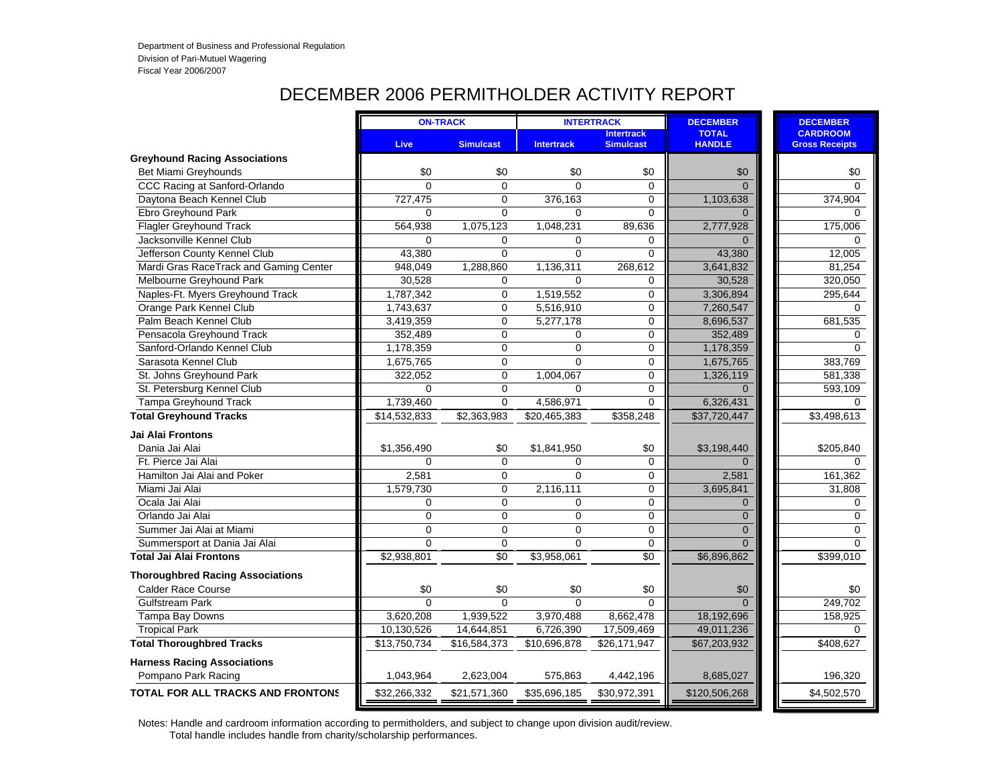# DECEMBER 2006 PERMITHOLDER ACTIVITY REPORT

|                                          |                | <b>ON-TRACK</b>  |                   | <b>INTERTRACK</b>                     | <b>DECEMBER</b>               | <b>DECEMBER</b>                          |             |
|------------------------------------------|----------------|------------------|-------------------|---------------------------------------|-------------------------------|------------------------------------------|-------------|
|                                          | Live           | <b>Simulcast</b> | <b>Intertrack</b> | <b>Intertrack</b><br><b>Simulcast</b> | <b>TOTAL</b><br><b>HANDLE</b> | <b>CARDROOM</b><br><b>Gross Receipts</b> |             |
| <b>Greyhound Racing Associations</b>     |                |                  |                   |                                       |                               |                                          |             |
| Bet Miami Greyhounds                     | \$0            | \$0              | \$0               | \$0                                   | \$0                           |                                          | \$0         |
| CCC Racing at Sanford-Orlando            | $\Omega$       | $\mathbf 0$      | $\Omega$          | 0                                     | $\Omega$                      |                                          | $\mathbf 0$ |
| Daytona Beach Kennel Club                | 727,475        | $\mathbf 0$      | 376,163           | 0                                     | 1,103,638                     | 374,904                                  |             |
| Ebro Greyhound Park                      | $\Omega$       | $\overline{0}$   | $\Omega$          | 0                                     | $\Omega$                      |                                          | $\Omega$    |
| <b>Flagler Greyhound Track</b>           | 564,938        | 1,075,123        | 1,048,231         | 89,636                                | 2,777,928                     | 175,006                                  |             |
| Jacksonville Kennel Club                 | $\Omega$       | $\mathbf 0$      | 0                 | 0                                     | $\Omega$                      |                                          | 0           |
| Jefferson County Kennel Club             | 43,380         | $\overline{0}$   | $\overline{0}$    | 0                                     | 43,380                        | 12,005                                   |             |
| Mardi Gras RaceTrack and Gaming Center   | 948,049        | 1,288,860        | 1,136,311         | 268,612                               | 3,641,832                     | 81,254                                   |             |
| Melbourne Greyhound Park                 | 30,528         | $\Omega$         | $\Omega$          | 0                                     | 30,528                        | 320,050                                  |             |
| Naples-Ft. Myers Greyhound Track         | 1,787,342      | $\mathbf 0$      | 1,519,552         | 0                                     | 3,306,894                     | 295,644                                  |             |
| Orange Park Kennel Club                  | 1,743,637      | $\Omega$         | 5,516,910         | 0                                     | 7,260,547                     |                                          | $\Omega$    |
| Palm Beach Kennel Club                   | 3,419,359      | $\Omega$         | 5,277,178         | 0                                     | 8,696,537                     | 681,535                                  |             |
| Pensacola Greyhound Track                | 352,489        | $\Omega$         | 0                 | 0                                     | 352,489                       |                                          | $\Omega$    |
| Sanford-Orlando Kennel Club              | 1,178,359      | $\mathbf 0$      | $\Omega$          | 0                                     | 1,178,359                     |                                          | $\Omega$    |
| Sarasota Kennel Club                     | 1,675,765      | $\mathbf 0$      | $\Omega$          | 0                                     | 1,675,765                     | 383,769                                  |             |
| St. Johns Greyhound Park                 | 322,052        | $\mathbf 0$      | 1,004,067         | 0                                     | 1,326,119                     | 581,338                                  |             |
| St. Petersburg Kennel Club               | $\Omega$       | $\Omega$         | $\Omega$          | 0                                     | $\Omega$                      | 593,109                                  |             |
| <b>Tampa Greyhound Track</b>             | 1,739,460      | $\Omega$         | 4,586,971         | 0                                     | 6,326,431                     |                                          | $\Omega$    |
| <b>Total Greyhound Tracks</b>            | \$14,532,833   | \$2,363,983      | \$20,465,383      | \$358,248                             | \$37,720,447                  | \$3,498,613                              |             |
| <b>Jai Alai Frontons</b>                 |                |                  |                   |                                       |                               |                                          |             |
| Dania Jai Alai                           | \$1,356,490    | \$0              | \$1,841,950       | \$0                                   | \$3,198,440                   | \$205,840                                |             |
| Ft. Pierce Jai Alai                      | $\Omega$       | $\Omega$         | $\Omega$          | 0                                     | $\Omega$                      |                                          | $\Omega$    |
| Hamilton Jai Alai and Poker              | 2,581          | $\Omega$         | $\Omega$          | 0                                     | 2,581                         | 161,362                                  |             |
| Miami Jai Alai                           | 1,579,730      | $\Omega$         | 2,116,111         | 0                                     | 3,695,841                     | 31,808                                   |             |
| Ocala Jai Alai                           | 0              | $\mathbf 0$      | 0                 | 0                                     | $\overline{0}$                |                                          | 0           |
| Orlando Jai Alai                         | $\overline{0}$ | $\Omega$         | $\overline{0}$    | 0                                     | $\overline{0}$                |                                          | $\mathbf 0$ |
| Summer Jai Alai at Miami                 | $\Omega$       | $\Omega$         | $\Omega$          | 0                                     | $\Omega$                      |                                          | $\Omega$    |
| Summersport at Dania Jai Alai            | 0              | $\mathbf 0$      | 0                 | 0                                     | $\Omega$                      |                                          | $\mathbf 0$ |
| <b>Total Jai Alai Frontons</b>           | \$2,938,801    | \$0              | \$3,958,061       | $\sqrt{6}$                            | \$6,896,862                   | \$399,010                                |             |
| <b>Thoroughbred Racing Associations</b>  |                |                  |                   |                                       |                               |                                          |             |
| <b>Calder Race Course</b>                | \$0            | \$0              | \$0               | \$0                                   | \$0                           |                                          | \$0         |
| Gulfstream Park                          | $\Omega$       | $\Omega$         | $\Omega$          | $\Omega$                              | $\Omega$                      | 249,702                                  |             |
| Tampa Bay Downs                          | 3,620,208      | 1,939,522        | 3,970,488         | 8,662,478                             | 18,192,696                    | 158,925                                  |             |
| <b>Tropical Park</b>                     | 10,130,526     | 14,644,851       | 6,726,390         | 17,509,469                            | 49,011,236                    |                                          | 0           |
| <b>Total Thoroughbred Tracks</b>         | \$13,750,734   | \$16,584,373     | \$10,696,878      | \$26,171,947                          | \$67,203,932                  | \$408,627                                |             |
| <b>Harness Racing Associations</b>       |                |                  |                   |                                       |                               |                                          |             |
| Pompano Park Racing                      | 1,043,964      | 2,623,004        | 575,863           | 4,442,196                             | 8,685,027                     | 196,320                                  |             |
| <b>TOTAL FOR ALL TRACKS AND FRONTONS</b> | \$32,266,332   | \$21,571,360     | \$35,696,185      | \$30,972,391                          | \$120,506,268                 | \$4,502,570                              |             |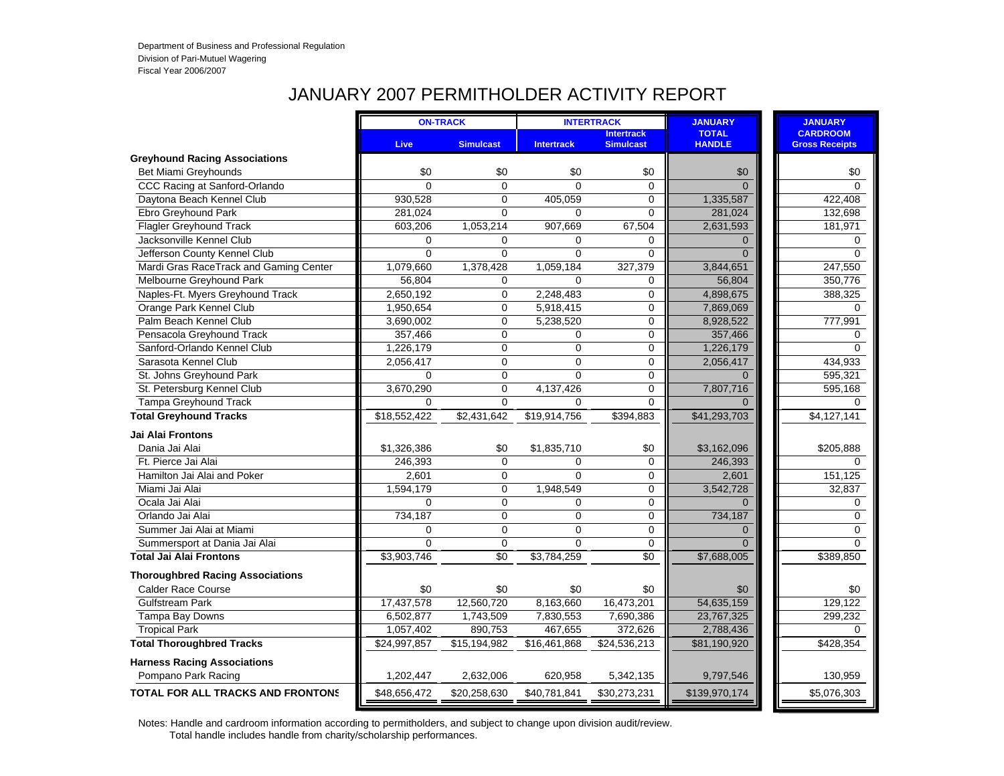# JANUARY 2007 PERMITHOLDER ACTIVITY REPORT

|                                          |                | <b>ON-TRACK</b>  |                   | <b>INTERTRACK</b>                     | <b>JANUARY</b>                | <b>JANUARY</b>                           |
|------------------------------------------|----------------|------------------|-------------------|---------------------------------------|-------------------------------|------------------------------------------|
|                                          | Live           | <b>Simulcast</b> | <b>Intertrack</b> | <b>Intertrack</b><br><b>Simulcast</b> | <b>TOTAL</b><br><b>HANDLE</b> | <b>CARDROOM</b><br><b>Gross Receipts</b> |
| <b>Greyhound Racing Associations</b>     |                |                  |                   |                                       |                               |                                          |
| Bet Miami Greyhounds                     | \$0            | \$0              | \$0               | \$0                                   | \$0                           | \$0                                      |
| CCC Racing at Sanford-Orlando            | $\Omega$       | $\Omega$         | $\Omega$          | $\Omega$                              | $\Omega$                      | $\Omega$                                 |
| Daytona Beach Kennel Club                | 930,528        | $\mathbf 0$      | 405,059           | $\mathbf 0$                           | 1,335,587                     | 422,408                                  |
| Ebro Greyhound Park                      | 281,024        | $\Omega$         | $\Omega$          | $\Omega$                              | 281,024                       | 132,698                                  |
| <b>Flagler Greyhound Track</b>           | 603,206        | 1,053,214        | 907,669           | 67,504                                | 2,631,593                     | 181,971                                  |
| Jacksonville Kennel Club                 | $\mathbf 0$    | $\mathbf 0$      | 0                 | 0                                     | $\Omega$                      | 0                                        |
| Jefferson County Kennel Club             | $\overline{0}$ | $\overline{0}$   | $\overline{0}$    | $\Omega$                              | $\Omega$                      | $\Omega$                                 |
| Mardi Gras RaceTrack and Gaming Center   | 1,079,660      | 1,378,428        | 1,059,184         | 327,379                               | 3,844,651                     | 247,550                                  |
| Melbourne Greyhound Park                 | 56,804         | 0                | 0                 | 0                                     | 56,804                        | 350,776                                  |
| Naples-Ft. Myers Greyhound Track         | 2,650,192      | $\overline{0}$   | 2,248,483         | $\mathbf 0$                           | 4,898,675                     | 388,325                                  |
| Orange Park Kennel Club                  | 1,950,654      | $\mathbf 0$      | 5,918,415         | $\mathbf 0$                           | 7,869,069                     | 0                                        |
| Palm Beach Kennel Club                   | 3,690,002      | $\overline{0}$   | 5,238,520         | $\mathbf 0$                           | 8,928,522                     | 777,991                                  |
| Pensacola Greyhound Track                | 357,466        | 0                | 0                 | $\mathbf 0$                           | 357,466                       | $\Omega$                                 |
| Sanford-Orlando Kennel Club              | 1,226,179      | $\overline{0}$   | 0                 | $\mathbf 0$                           | 1,226,179                     | $\Omega$                                 |
| Sarasota Kennel Club                     | 2,056,417      | $\mathbf 0$      | $\Omega$          | $\mathbf 0$                           | 2,056,417                     | 434,933                                  |
| St. Johns Greyhound Park                 | $\Omega$       | $\Omega$         | $\Omega$          | $\mathbf 0$                           | $\Omega$                      | 595,321                                  |
| St. Petersburg Kennel Club               | 3,670,290      | $\overline{0}$   | 4,137,426         | $\mathbf 0$                           | 7,807,716                     | 595,168                                  |
| <b>Tampa Greyhound Track</b>             | $\Omega$       | $\overline{0}$   | $\Omega$          | $\mathbf 0$                           |                               | 0                                        |
| <b>Total Greyhound Tracks</b>            | \$18,552,422   | \$2,431,642      | \$19,914,756      | \$394,883                             | \$41,293,703                  | $\sqrt{4,127,141}$                       |
| Jai Alai Frontons                        |                |                  |                   |                                       |                               |                                          |
| Dania Jai Alai                           | \$1,326,386    | \$0              | \$1,835,710       | \$0                                   | \$3,162,096                   | \$205,888                                |
| Ft. Pierce Jai Alai                      | 246,393        | $\mathbf 0$      | $\Omega$          | $\mathbf 0$                           | 246,393                       | $\Omega$                                 |
| Hamilton Jai Alai and Poker              | 2,601          | $\Omega$         | $\Omega$          | $\mathbf 0$                           | 2.601                         | 151,125                                  |
| Miami Jai Alai                           | 1,594,179      | $\mathbf 0$      | 1,948,549         | 0                                     | 3,542,728                     | 32,837                                   |
| Ocala Jai Alai                           | $\Omega$       | $\mathbf 0$      | 0                 | $\mathbf 0$                           | $\Omega$                      | $\mathbf 0$                              |
| Orlando Jai Alai                         | 734,187        | $\mathbf 0$      | 0                 | $\mathbf 0$                           | 734,187                       | $\mathbf 0$                              |
| Summer Jai Alai at Miami                 | $\Omega$       | $\Omega$         | $\Omega$          | $\mathbf 0$                           | $\Omega$                      | $\Omega$                                 |
| Summersport at Dania Jai Alai            | $\Omega$       | $\Omega$         | $\Omega$          | $\mathbf 0$                           | $\Omega$                      | $\Omega$                                 |
| <b>Total Jai Alai Frontons</b>           | \$3,903,746    | $\overline{50}$  | \$3,784,259       | $\sqrt{6}$                            | \$7,688,005                   | \$389,850                                |
| <b>Thoroughbred Racing Associations</b>  |                |                  |                   |                                       |                               |                                          |
| <b>Calder Race Course</b>                | \$0            | \$0              | \$0               | \$0                                   | \$0                           | \$0                                      |
| <b>Gulfstream Park</b>                   | 17,437,578     | 12,560,720       | 8,163,660         | 16,473,201                            | 54,635,159                    | 129,122                                  |
| Tampa Bay Downs                          | 6,502,877      | 1,743,509        | 7,830,553         | 7,690,386                             | 23,767,325                    | 299,232                                  |
| <b>Tropical Park</b>                     | 1,057,402      | 890,753          | 467,655           | 372,626                               | 2,788,436                     | $\Omega$                                 |
| <b>Total Thoroughbred Tracks</b>         | \$24,997,857   | \$15,194,982     | \$16,461,868      | \$24,536,213                          | \$81,190,920                  | \$428,354                                |
| <b>Harness Racing Associations</b>       |                |                  |                   |                                       |                               |                                          |
| Pompano Park Racing                      | 1,202,447      | 2,632,006        | 620,958           | 5,342,135                             | 9,797,546                     | 130,959                                  |
| <b>TOTAL FOR ALL TRACKS AND FRONTONS</b> | \$48,656,472   | \$20,258,630     | \$40,781,841      | \$30,273,231                          | \$139,970,174                 | \$5,076,303                              |
|                                          |                |                  |                   |                                       |                               |                                          |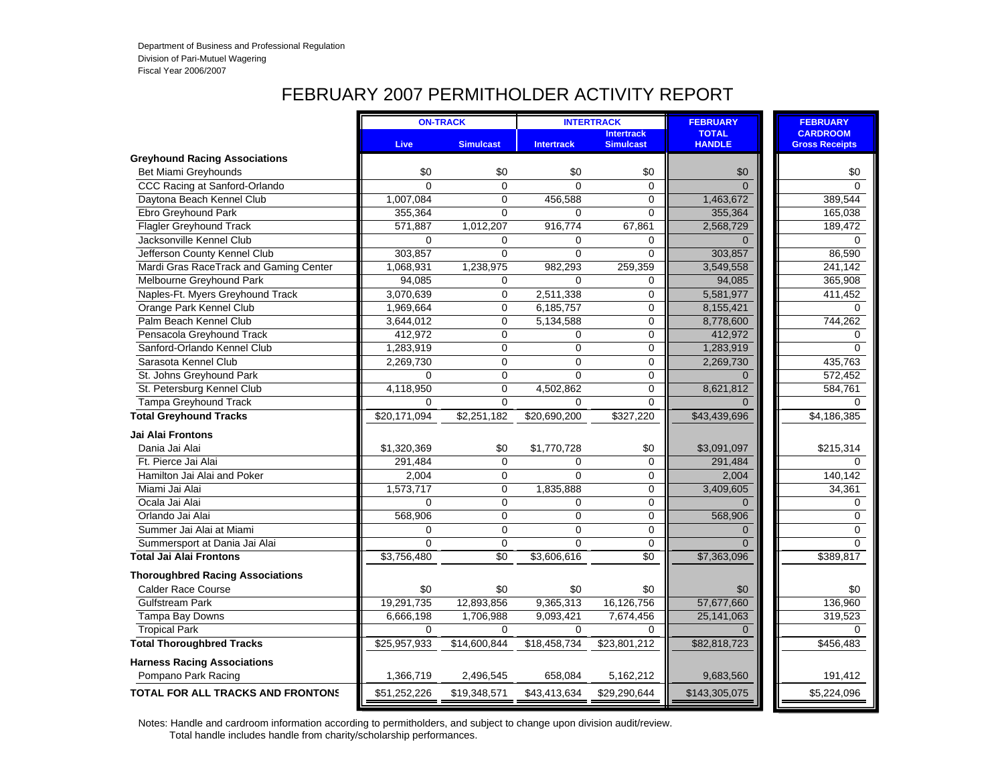# FEBRUARY 2007 PERMITHOLDER ACTIVITY REPORT

|                                          |              | <b>ON-TRACK</b>  |                   | <b>INTERTRACK</b>                     | <b>FEBRUARY</b>               | <b>FEBRUARY</b>                          |
|------------------------------------------|--------------|------------------|-------------------|---------------------------------------|-------------------------------|------------------------------------------|
|                                          | Live         | <b>Simulcast</b> | <b>Intertrack</b> | <b>Intertrack</b><br><b>Simulcast</b> | <b>TOTAL</b><br><b>HANDLE</b> | <b>CARDROOM</b><br><b>Gross Receipts</b> |
| <b>Greyhound Racing Associations</b>     |              |                  |                   |                                       |                               |                                          |
| Bet Miami Greyhounds                     | \$0          | \$0              | \$0               | \$0                                   | \$0                           | \$0                                      |
| CCC Racing at Sanford-Orlando            | $\Omega$     | $\Omega$         | $\Omega$          | $\Omega$                              | $\Omega$                      | $\Omega$                                 |
| Daytona Beach Kennel Club                | 1,007,084    | $\mathbf{0}$     | 456,588           | $\Omega$                              | 1,463,672                     | 389,544                                  |
| Ebro Greyhound Park                      | 355,364      | $\Omega$         | $\Omega$          | 0                                     | 355,364                       | 165,038                                  |
| <b>Flagler Greyhound Track</b>           | 571,887      | 1,012,207        | 916,774           | 67,861                                | 2,568,729                     | 189,472                                  |
| Jacksonville Kennel Club                 | $\Omega$     | $\Omega$         | 0                 | 0                                     | $\Omega$                      | $\Omega$                                 |
| Jefferson County Kennel Club             | 303,857      | $\Omega$         | 0                 | 0                                     | 303,857                       | 86,590                                   |
| Mardi Gras RaceTrack and Gaming Center   | 1,068,931    | 1,238,975        | 982,293           | 259,359                               | 3,549,558                     | 241,142                                  |
| Melbourne Greyhound Park                 | 94,085       | $\Omega$         | $\Omega$          | 0                                     | 94,085                        | 365,908                                  |
| Naples-Ft. Myers Greyhound Track         | 3,070,639    | $\mathbf 0$      | 2,511,338         | 0                                     | 5,581,977                     | 411,452                                  |
| Orange Park Kennel Club                  | 1,969,664    | $\Omega$         | 6,185,757         | 0                                     | 8,155,421                     | $\Omega$                                 |
| Palm Beach Kennel Club                   | 3,644,012    | $\mathbf 0$      | 5,134,588         | 0                                     | 8,778,600                     | 744,262                                  |
| Pensacola Greyhound Track                | 412,972      | $\Omega$         | $\Omega$          | $\Omega$                              | 412,972                       | $\Omega$                                 |
| Sanford-Orlando Kennel Club              | 1,283,919    | $\Omega$         | $\Omega$          | 0                                     | 1,283,919                     | $\Omega$                                 |
| Sarasota Kennel Club                     | 2,269,730    | $\Omega$         | $\Omega$          | 0                                     | 2,269,730                     | 435,763                                  |
| St. Johns Greyhound Park                 | $\Omega$     | $\Omega$         | $\Omega$          | 0                                     | $\Omega$                      | 572,452                                  |
| St. Petersburg Kennel Club               | 4,118,950    | $\mathbf 0$      | 4,502,862         | 0                                     | 8,621,812                     | 584,761                                  |
| <b>Tampa Greyhound Track</b>             | $\Omega$     | $\Omega$         | $\Omega$          | $\Omega$                              | $\Omega$                      | $\Omega$                                 |
| <b>Total Greyhound Tracks</b>            | \$20,171,094 | \$2,251,182      | \$20,690,200      | \$327,220                             | \$43,439,696                  | \$4,186,385                              |
| <b>Jai Alai Frontons</b>                 |              |                  |                   |                                       |                               |                                          |
| Dania Jai Alai                           | \$1,320,369  | \$0              | \$1,770,728       | \$0                                   | \$3,091,097                   | \$215,314                                |
| Ft. Pierce Jai Alai                      | 291,484      | $\Omega$         | $\Omega$          | 0                                     | 291,484                       | $\mathbf 0$                              |
| Hamilton Jai Alai and Poker              | 2,004        | $\Omega$         | $\Omega$          | 0                                     | 2.004                         | 140,142                                  |
| Miami Jai Alai                           | 1,573,717    | $\Omega$         | 1,835,888         | 0                                     | 3,409,605                     | 34,361                                   |
| Ocala Jai Alai                           | $\Omega$     | $\mathbf 0$      | 0                 | 0                                     | $\Omega$                      | $\mathbf 0$                              |
| Orlando Jai Alai                         | 568,906      | $\Omega$         | $\Omega$          | 0                                     | 568,906                       | $\mathbf 0$                              |
| Summer Jai Alai at Miami                 | $\Omega$     | $\Omega$         | $\Omega$          | $\mathbf 0$                           | $\Omega$                      | $\Omega$                                 |
| Summersport at Dania Jai Alai            | $\mathbf 0$  | $\mathbf 0$      | 0                 | 0                                     | $\Omega$                      | $\mathbf 0$                              |
| <b>Total Jai Alai Frontons</b>           | \$3,756,480  | \$0              | \$3,606,616       | \$0                                   | \$7,363,096                   | \$389,817                                |
| <b>Thoroughbred Racing Associations</b>  |              |                  |                   |                                       |                               |                                          |
| <b>Calder Race Course</b>                | \$0          | \$0              | \$0               | \$0                                   | \$0                           | \$0                                      |
| <b>Gulfstream Park</b>                   | 19,291,735   | 12,893,856       | 9,365,313         | 16,126,756                            | 57,677,660                    | 136,960                                  |
| Tampa Bay Downs                          | 6,666,198    | 1,706,988        | 9,093,421         | 7,674,456                             | 25,141,063                    | 319,523                                  |
| <b>Tropical Park</b>                     | $\Omega$     | $\Omega$         | $\Omega$          | $\Omega$                              |                               | $\Omega$                                 |
| <b>Total Thoroughbred Tracks</b>         | \$25,957,933 | \$14,600,844     | \$18,458,734      | \$23,801,212                          | \$82,818,723                  | \$456,483                                |
| <b>Harness Racing Associations</b>       |              |                  |                   |                                       |                               |                                          |
| Pompano Park Racing                      | 1,366,719    | 2,496,545        | 658,084           | 5,162,212                             | 9,683,560                     | 191,412                                  |
| <b>TOTAL FOR ALL TRACKS AND FRONTONS</b> | \$51,252,226 | \$19,348,571     | \$43,413,634      | \$29,290,644                          | \$143,305,075                 | \$5,224,096                              |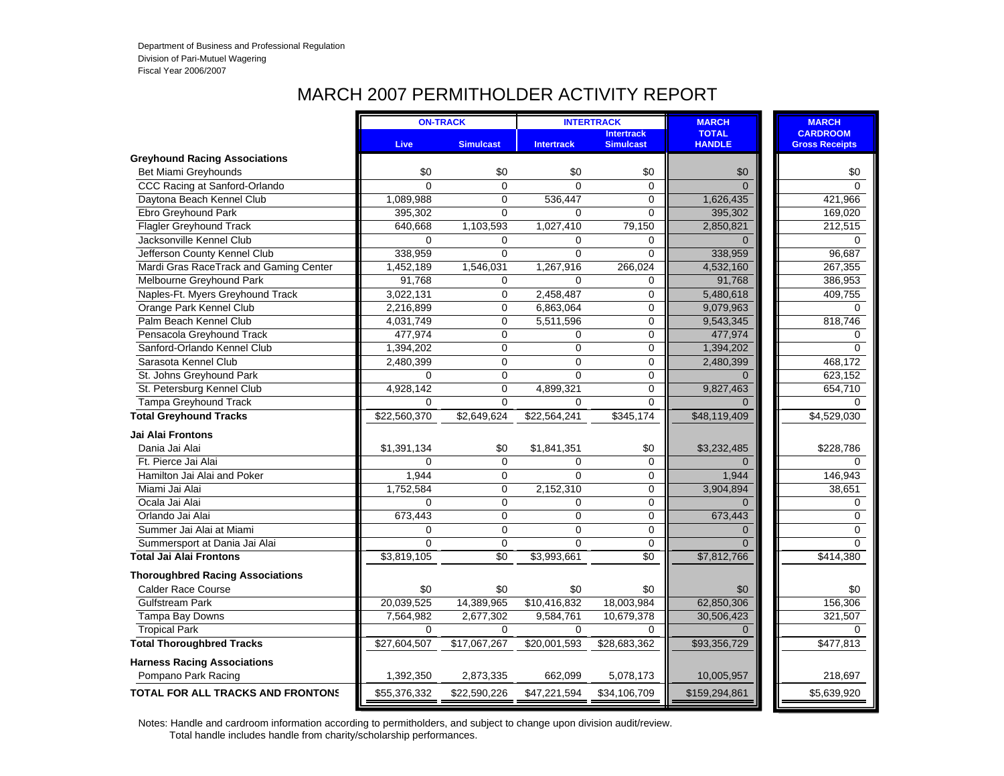#### MARCH 2007 PERMITHOLDER ACTIVITY REPORT

|                                          |              | <b>ON-TRACK</b>  |                   | <b>INTERTRACK</b>                     | <b>MARCH</b>                  | <b>MARCH</b>                             |
|------------------------------------------|--------------|------------------|-------------------|---------------------------------------|-------------------------------|------------------------------------------|
|                                          | Live         | <b>Simulcast</b> | <b>Intertrack</b> | <b>Intertrack</b><br><b>Simulcast</b> | <b>TOTAL</b><br><b>HANDLE</b> | <b>CARDROOM</b><br><b>Gross Receipts</b> |
| <b>Greyhound Racing Associations</b>     |              |                  |                   |                                       |                               |                                          |
| Bet Miami Greyhounds                     | \$0          | \$0              | \$0               | \$0                                   | \$0                           | \$0                                      |
| CCC Racing at Sanford-Orlando            | $\Omega$     | $\Omega$         | $\Omega$          | $\Omega$                              | $\Omega$                      | $\Omega$                                 |
| Daytona Beach Kennel Club                | 1,089,988    | $\mathbf 0$      | 536,447           | 0                                     | 1,626,435                     | 421,966                                  |
| Ebro Greyhound Park                      | 395,302      | $\Omega$         | $\Omega$          | 0                                     | 395,302                       | 169,020                                  |
| <b>Flagler Greyhound Track</b>           | 640,668      | 1,103,593        | 1,027,410         | 79,150                                | 2,850,821                     | 212,515                                  |
| Jacksonville Kennel Club                 | $\Omega$     | 0                | $\Omega$          | $\mathbf 0$                           | $\Omega$                      | $\Omega$                                 |
| Jefferson County Kennel Club             | 338,959      | $\Omega$         | $\Omega$          | 0                                     | 338,959                       | 96,687                                   |
| Mardi Gras RaceTrack and Gaming Center   | 1,452,189    | 1,546,031        | 1,267,916         | 266,024                               | 4,532,160                     | 267,355                                  |
| Melbourne Greyhound Park                 | 91,768       | $\Omega$         | $\Omega$          | 0                                     | 91,768                        | 386,953                                  |
| Naples-Ft. Myers Greyhound Track         | 3,022,131    | $\mathbf 0$      | 2,458,487         | 0                                     | 5,480,618                     | 409,755                                  |
| Orange Park Kennel Club                  | 2,216,899    | $\Omega$         | 6,863,064         | 0                                     | 9,079,963                     | 0                                        |
| Palm Beach Kennel Club                   | 4,031,749    | $\Omega$         | 5,511,596         | 0                                     | 9,543,345                     | 818,746                                  |
| Pensacola Greyhound Track                | 477,974      | $\mathbf 0$      | 0                 | 0                                     | 477,974                       | 0                                        |
| Sanford-Orlando Kennel Club              | 1,394,202    | $\mathbf 0$      | $\Omega$          | 0                                     | 1,394,202                     | $\Omega$                                 |
| Sarasota Kennel Club                     | 2,480,399    | $\Omega$         | $\Omega$          | 0                                     | 2,480,399                     | 468,172                                  |
| St. Johns Greyhound Park                 | $\Omega$     | $\mathbf 0$      | $\Omega$          | 0                                     | $\Omega$                      | 623,152                                  |
| St. Petersburg Kennel Club               | 4,928,142    | $\overline{0}$   | 4,899,321         | 0                                     | 9,827,463                     | 654,710                                  |
| <b>Tampa Greyhound Track</b>             | 0            | $\Omega$         | $\Omega$          | 0                                     |                               | $\Omega$                                 |
| <b>Total Greyhound Tracks</b>            | \$22,560,370 | \$2,649,624      | \$22,564,241      | \$345,174                             | \$48,119,409                  | \$4,529,030                              |
| <b>Jai Alai Frontons</b>                 |              |                  |                   |                                       |                               |                                          |
| Dania Jai Alai                           | \$1,391,134  | \$0              | \$1,841,351       | \$0                                   | \$3,232,485                   | \$228,786                                |
| Ft. Pierce Jai Alai                      | 0            | $\Omega$         | $\Omega$          | 0                                     | $\Omega$                      | $\mathbf 0$                              |
| Hamilton Jai Alai and Poker              | 1,944        | $\Omega$         | $\Omega$          | 0                                     | 1,944                         | 146,943                                  |
| Miami Jai Alai                           | 1,752,584    | $\mathbf 0$      | 2,152,310         | 0                                     | 3,904,894                     | 38,651                                   |
| Ocala Jai Alai                           | $\Omega$     | $\mathbf 0$      | 0                 | 0                                     | $\Omega$                      | $\mathbf 0$                              |
| Orlando Jai Alai                         | 673,443      | $\Omega$         | $\overline{0}$    | 0                                     | 673,443                       | 0                                        |
| Summer Jai Alai at Miami                 | 0            | $\Omega$         | $\Omega$          | 0                                     | $\Omega$                      | $\Omega$                                 |
| Summersport at Dania Jai Alai            | $\Omega$     | $\mathbf 0$      | $\Omega$          | 0                                     | $\Omega$                      | 0                                        |
| <b>Total Jai Alai Frontons</b>           | \$3,819,105  | \$0              | \$3,993,661       | \$0                                   | \$7,812,766                   | \$414,380                                |
| <b>Thoroughbred Racing Associations</b>  |              |                  |                   |                                       |                               |                                          |
| <b>Calder Race Course</b>                | \$0          | \$0              | \$0               | \$0                                   | \$0                           | \$0                                      |
| <b>Gulfstream Park</b>                   | 20,039,525   | 14,389,965       | \$10,416,832      | 18,003,984                            | 62,850,306                    | 156,306                                  |
| Tampa Bay Downs                          | 7,564,982    | 2,677,302        | 9,584,761         | 10,679,378                            | 30,506,423                    | 321,507                                  |
| <b>Tropical Park</b>                     | $\Omega$     | $\Omega$         | $\Omega$          | 0                                     |                               | $\Omega$                                 |
| <b>Total Thoroughbred Tracks</b>         | \$27,604,507 | \$17,067,267     | \$20,001,593      | \$28,683,362                          | \$93,356,729                  | \$477,813                                |
| <b>Harness Racing Associations</b>       |              |                  |                   |                                       |                               |                                          |
| Pompano Park Racing                      | 1,392,350    | 2,873,335        | 662,099           | 5,078,173                             | 10,005,957                    | 218,697                                  |
| <b>TOTAL FOR ALL TRACKS AND FRONTONS</b> | \$55,376,332 | \$22,590,226     | \$47,221,594      | \$34,106,709                          | \$159,294,861                 | \$5,639,920                              |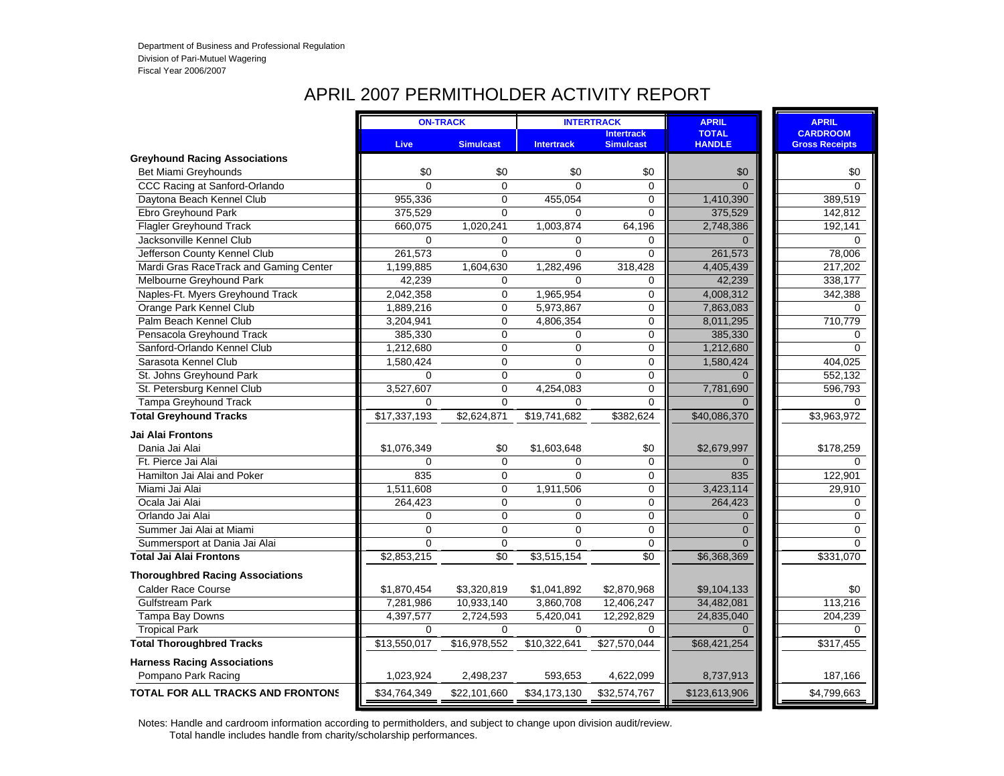# APRIL 2007 PERMITHOLDER ACTIVITY REPORT

|                                          |                | <b>ON-TRACK</b>  |                   | <b>INTERTRACK</b>                     | <b>APRIL</b>                  | <b>APRIL</b>                             |
|------------------------------------------|----------------|------------------|-------------------|---------------------------------------|-------------------------------|------------------------------------------|
|                                          | <b>Live</b>    | <b>Simulcast</b> | <b>Intertrack</b> | <b>Intertrack</b><br><b>Simulcast</b> | <b>TOTAL</b><br><b>HANDLE</b> | <b>CARDROOM</b><br><b>Gross Receipts</b> |
| <b>Greyhound Racing Associations</b>     |                |                  |                   |                                       |                               |                                          |
| Bet Miami Greyhounds                     | \$0            | \$0              | \$0               | \$0                                   | \$0                           | \$0                                      |
| CCC Racing at Sanford-Orlando            | $\Omega$       | $\mathbf{0}$     | $\Omega$          | $\Omega$                              | $\Omega$                      | $\Omega$                                 |
| Daytona Beach Kennel Club                | 955,336        | 0                | 455,054           | $\Omega$                              | 1,410,390                     | 389,519                                  |
| Ebro Greyhound Park                      | 375,529        | $\mathbf{0}$     | $\Omega$          | $\overline{0}$                        | 375,529                       | 142,812                                  |
| <b>Flagler Greyhound Track</b>           | 660,075        | 1,020,241        | 1,003,874         | 64,196                                | 2,748,386                     | 192,141                                  |
| Jacksonville Kennel Club                 | $\Omega$       | $\Omega$         | $\Omega$          | 0                                     | $\Omega$                      | $\Omega$                                 |
| Jefferson County Kennel Club             | 261,573        | $\mathbf{0}$     | $\Omega$          | $\mathbf 0$                           | 261,573                       | 78,006                                   |
| Mardi Gras RaceTrack and Gaming Center   | 1,199,885      | 1,604,630        | 1,282,496         | 318,428                               | 4,405,439                     | 217,202                                  |
| Melbourne Greyhound Park                 | 42,239         | 0                | $\Omega$          | 0                                     | 42,239                        | 338,177                                  |
| Naples-Ft. Myers Greyhound Track         | 2,042,358      | $\mathbf 0$      | 1,965,954         | 0                                     | 4,008,312                     | 342,388                                  |
| Orange Park Kennel Club                  | 1,889,216      | 0                | 5,973,867         | $\mathbf 0$                           | 7,863,083                     | $\Omega$                                 |
| Palm Beach Kennel Club                   | 3,204,941      | $\Omega$         | 4,806,354         | $\mathbf 0$                           | 8,011,295                     | 710,779                                  |
| Pensacola Greyhound Track                | 385,330        | $\mathbf 0$      | 0                 | 0                                     | 385,330                       | 0                                        |
| Sanford-Orlando Kennel Club              | 1,212,680      | $\overline{0}$   | $\overline{0}$    | $\overline{0}$                        | 1,212,680                     | $\Omega$                                 |
| Sarasota Kennel Club                     | 1,580,424      | $\overline{0}$   | $\overline{0}$    | $\mathbf 0$                           | 1,580,424                     | 404,025                                  |
| St. Johns Greyhound Park                 | $\mathbf 0$    | $\mathbf 0$      | $\mathbf 0$       | 0                                     | $\Omega$                      | 552,132                                  |
| St. Petersburg Kennel Club               | 3,527,607      | $\overline{0}$   | 4,254,083         | $\mathbf 0$                           | 7,781,690                     | 596,793                                  |
| <b>Tampa Greyhound Track</b>             | $\Omega$       | $\overline{0}$   | $\Omega$          | $\overline{0}$                        | $\Omega$                      | $\Omega$                                 |
| <b>Total Greyhound Tracks</b>            | \$17,337,193   | \$2,624,871      | \$19,741,682      | \$382,624                             | \$40,086,370                  | \$3,963,972                              |
| Jai Alai Frontons                        |                |                  |                   |                                       |                               |                                          |
| Dania Jai Alai                           | \$1,076,349    | \$0              | \$1,603,648       | \$0                                   | \$2,679,997                   | \$178,259                                |
| Ft. Pierce Jai Alai                      | $\Omega$       | $\mathbf 0$      | $\Omega$          | $\mathbf 0$                           | $\Omega$                      | $\Omega$                                 |
| Hamilton Jai Alai and Poker              | 835            | $\overline{0}$   | $\Omega$          | $\Omega$                              | 835                           | 122,901                                  |
| Miami Jai Alai                           | 1,511,608      | 0                | 1,911,506         | 0                                     | 3,423,114                     | 29,910                                   |
| Ocala Jai Alai                           | 264,423        | 0                | 0                 | $\mathbf 0$                           | 264,423                       | 0                                        |
| Orlando Jai Alai                         | $\overline{0}$ | $\overline{0}$   | $\Omega$          | $\mathbf 0$                           | $\Omega$                      | $\Omega$                                 |
| Summer Jai Alai at Miami                 | 0              | 0                | 0                 | 0                                     | $\Omega$                      | $\Omega$                                 |
| Summersport at Dania Jai Alai            | $\Omega$       | $\mathbf 0$      | 0                 | $\mathbf 0$                           | $\Omega$                      | $\Omega$                                 |
| <b>Total Jai Alai Frontons</b>           | \$2,853,215    | \$0              | \$3,515,154       | \$0                                   | \$6,368,369                   | \$331,070                                |
| <b>Thoroughbred Racing Associations</b>  |                |                  |                   |                                       |                               |                                          |
| <b>Calder Race Course</b>                | \$1,870,454    | \$3,320,819      | \$1,041,892       | \$2,870,968                           | \$9,104,133                   | \$0                                      |
| <b>Gulfstream Park</b>                   | 7,281,986      | 10,933,140       | 3,860,708         | 12,406,247                            | 34,482,081                    | 113,216                                  |
| Tampa Bay Downs                          | 4,397,577      | 2,724,593        | 5,420,041         | 12,292,829                            | 24,835,040                    | 204,239                                  |
| <b>Tropical Park</b>                     | $\Omega$       | $\Omega$         | $\Omega$          | $\Omega$                              | $\Omega$                      | $\Omega$                                 |
| <b>Total Thoroughbred Tracks</b>         | \$13,550,017   | \$16,978,552     | \$10,322,641      | \$27,570,044                          | \$68,421,254                  | \$317,455                                |
| <b>Harness Racing Associations</b>       |                |                  |                   |                                       |                               |                                          |
| Pompano Park Racing                      | 1,023,924      | 2,498,237        | 593,653           | 4,622,099                             | 8,737,913                     | 187,166                                  |
| <b>TOTAL FOR ALL TRACKS AND FRONTONS</b> | \$34,764,349   | \$22,101,660     | \$34,173,130      | \$32,574,767                          | \$123,613,906                 | \$4,799,663                              |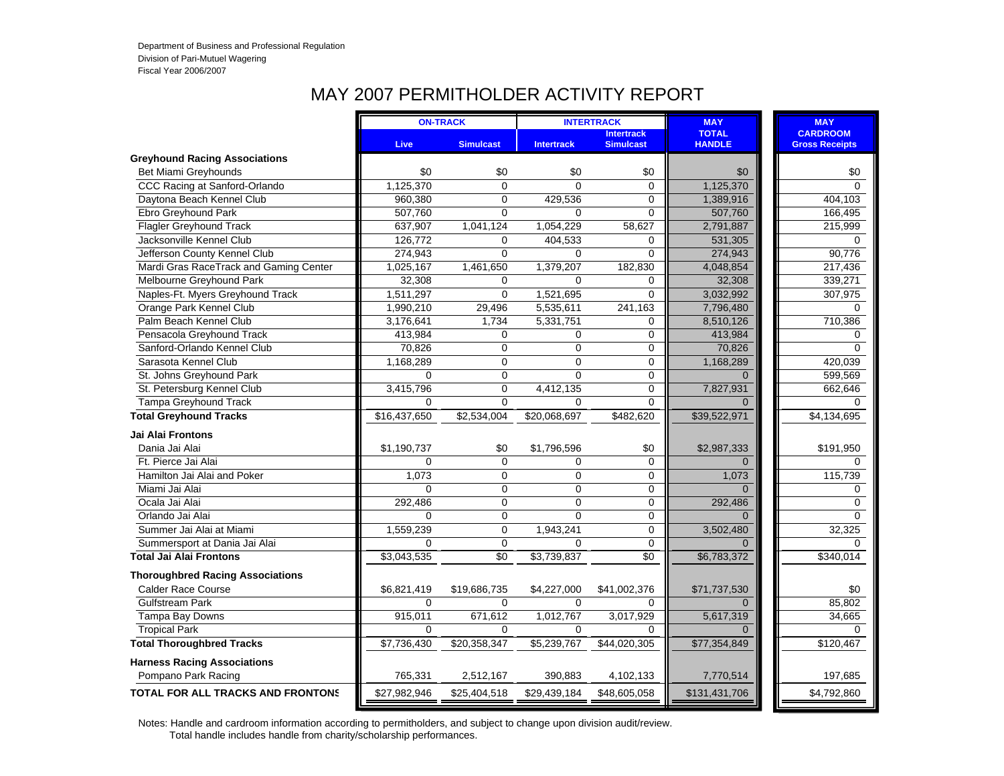# MAY 2007 PERMITHOLDER ACTIVITY REPORT

|                                          |              | <b>ON-TRACK</b>  |                   | <b>INTERTRACK</b>                     | <b>MAY</b>                    | <b>MAY</b>                               |
|------------------------------------------|--------------|------------------|-------------------|---------------------------------------|-------------------------------|------------------------------------------|
|                                          | Live         | <b>Simulcast</b> | <b>Intertrack</b> | <b>Intertrack</b><br><b>Simulcast</b> | <b>TOTAL</b><br><b>HANDLE</b> | <b>CARDROOM</b><br><b>Gross Receipts</b> |
| <b>Greyhound Racing Associations</b>     |              |                  |                   |                                       |                               |                                          |
| Bet Miami Greyhounds                     | \$0          | \$0              | \$0               | \$0                                   | \$0                           | \$0                                      |
| CCC Racing at Sanford-Orlando            | 1,125,370    | $\Omega$         | $\Omega$          | $\Omega$                              | 1,125,370                     | $\Omega$                                 |
| Daytona Beach Kennel Club                | 960,380      | $\mathbf 0$      | 429,536           | 0                                     | 1,389,916                     | 404,103                                  |
| Ebro Greyhound Park                      | 507,760      | $\Omega$         | $\Omega$          | $\overline{0}$                        | 507,760                       | 166,495                                  |
| Flagler Greyhound Track                  | 637,907      | 1,041,124        | 1,054,229         | 58,627                                | 2,791,887                     | 215,999                                  |
| Jacksonville Kennel Club                 | 126,772      | $\mathbf 0$      | 404,533           | $\mathbf 0$                           | 531,305                       | 0                                        |
| Jefferson County Kennel Club             | 274,943      | $\Omega$         | $\Omega$          | $\overline{0}$                        | 274,943                       | 90,776                                   |
| Mardi Gras RaceTrack and Gaming Center   | 1,025,167    | 1,461,650        | 1,379,207         | 182,830                               | 4,048,854                     | 217,436                                  |
| Melbourne Greyhound Park                 | 32,308       | $\mathbf 0$      | 0                 | 0                                     | 32,308                        | 339,271                                  |
| Naples-Ft. Myers Greyhound Track         | 1,511,297    | $\Omega$         | 1,521,695         | $\overline{0}$                        | 3,032,992                     | 307,975                                  |
| Orange Park Kennel Club                  | 1,990,210    | 29,496           | 5,535,611         | 241,163                               | 7,796,480                     | $\mathbf 0$                              |
| Palm Beach Kennel Club                   | 3,176,641    | 1,734            | 5,331,751         | 0                                     | 8,510,126                     | 710,386                                  |
| Pensacola Greyhound Track                | 413,984      | 0                | $\Omega$          | 0                                     | 413,984                       | $\Omega$                                 |
| Sanford-Orlando Kennel Club              | 70,826       | $\mathbf 0$      | $\Omega$          | 0                                     | 70,826                        | $\Omega$                                 |
| Sarasota Kennel Club                     | 1,168,289    | $\mathbf 0$      | $\Omega$          | 0                                     | 1,168,289                     | 420,039                                  |
| St. Johns Greyhound Park                 | $\Omega$     | $\mathbf 0$      | $\Omega$          | $\mathbf 0$                           | $\Omega$                      | 599,569                                  |
| St. Petersburg Kennel Club               | 3,415,796    | $\overline{0}$   | 4,412,135         | 0                                     | 7,827,931                     | 662,646                                  |
| <b>Tampa Greyhound Track</b>             | 0            | $\Omega$         | $\Omega$          | 0                                     |                               | $\Omega$                                 |
| <b>Total Greyhound Tracks</b>            | \$16,437,650 | \$2,534,004      | \$20,068,697      | \$482,620                             | \$39,522,971                  | \$4,134,695                              |
| Jai Alai Frontons                        |              |                  |                   |                                       |                               |                                          |
| Dania Jai Alai                           | \$1,190,737  | \$0              | \$1,796,596       | \$0                                   | \$2,987,333                   | \$191,950                                |
| Ft. Pierce Jai Alai                      | 0            | $\Omega$         | $\Omega$          | 0                                     | $\Omega$                      | $\mathbf 0$                              |
| Hamilton Jai Alai and Poker              | 1,073        | $\Omega$         | $\Omega$          | 0                                     | 1,073                         | 115,739                                  |
| Miami Jai Alai                           | $\Omega$     | $\mathbf 0$      | $\Omega$          | $\mathbf 0$                           | $\Omega$                      | 0                                        |
| Ocala Jai Alai                           | 292,486      | $\mathbf 0$      | $\Omega$          | 0                                     | 292,486                       | $\mathbf 0$                              |
| Orlando Jai Alai                         | $\Omega$     | $\mathbf 0$      | $\Omega$          | 0                                     | U                             | $\mathbf 0$                              |
| Summer Jai Alai at Miami                 | 1,559,239    | $\mathbf 0$      | 1,943,241         | 0                                     | 3,502,480                     | 32,325                                   |
| Summersport at Dania Jai Alai            | $\Omega$     | $\Omega$         | $\Omega$          | 0                                     | $\Omega$                      | $\Omega$                                 |
| <b>Total Jai Alai Frontons</b>           | \$3,043,535  | $\sqrt{6}$       | \$3,739,837       | \$0                                   | \$6,783,372                   | \$340,014                                |
| <b>Thoroughbred Racing Associations</b>  |              |                  |                   |                                       |                               |                                          |
| <b>Calder Race Course</b>                | \$6,821,419  | \$19,686,735     | \$4,227,000       | \$41,002,376                          | \$71,737,530                  | \$0                                      |
| <b>Gulfstream Park</b>                   | $\Omega$     | $\Omega$         | $\Omega$          | $\Omega$                              | $\Omega$                      | 85,802                                   |
| Tampa Bay Downs                          | 915,011      | 671,612          | 1,012,767         | 3,017,929                             | 5,617,319                     | 34,665                                   |
| <b>Tropical Park</b>                     | 0            | $\Omega$         | $\Omega$          | 0                                     |                               | $\mathbf 0$                              |
| <b>Total Thoroughbred Tracks</b>         | \$7,736,430  | \$20,358,347     | \$5,239,767       | \$44.020.305                          | \$77,354,849                  | \$120,467                                |
| <b>Harness Racing Associations</b>       |              |                  |                   |                                       |                               |                                          |
| Pompano Park Racing                      | 765,331      | 2,512,167        | 390,883           | 4,102,133                             | 7,770,514                     | 197,685                                  |
| <b>TOTAL FOR ALL TRACKS AND FRONTONS</b> | \$27,982,946 | \$25,404,518     | \$29,439,184      | \$48,605,058                          | \$131,431,706                 | \$4,792,860                              |